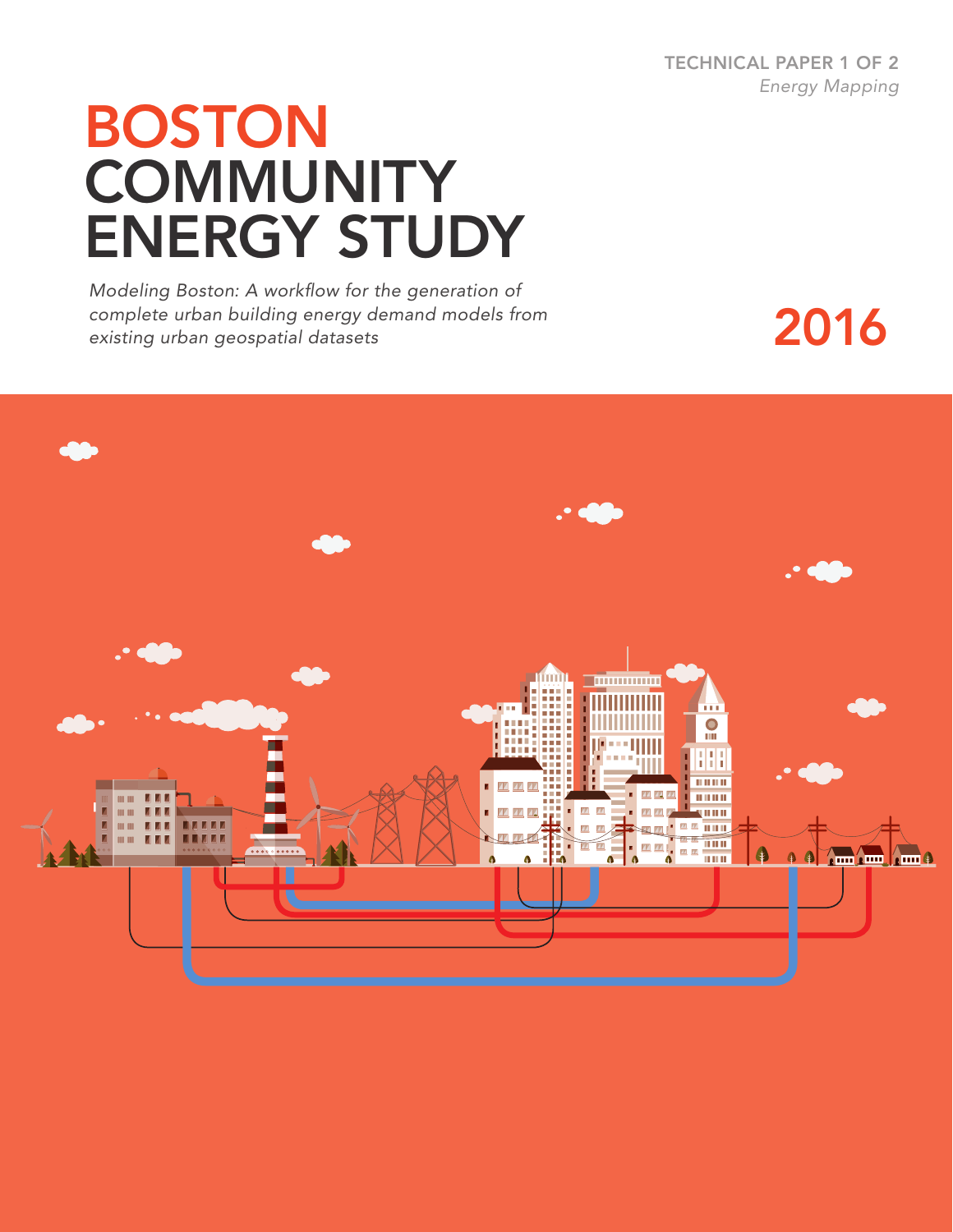TECHNICAL PAPER 1 OF 2 *Energy Mapping*

# BOSTON **COMMUNITY** ENERGY STUDY

*Modeling Boston: A workflow for the generation of complete urban building energy demand models from existing urban geospatial datasets*

2016

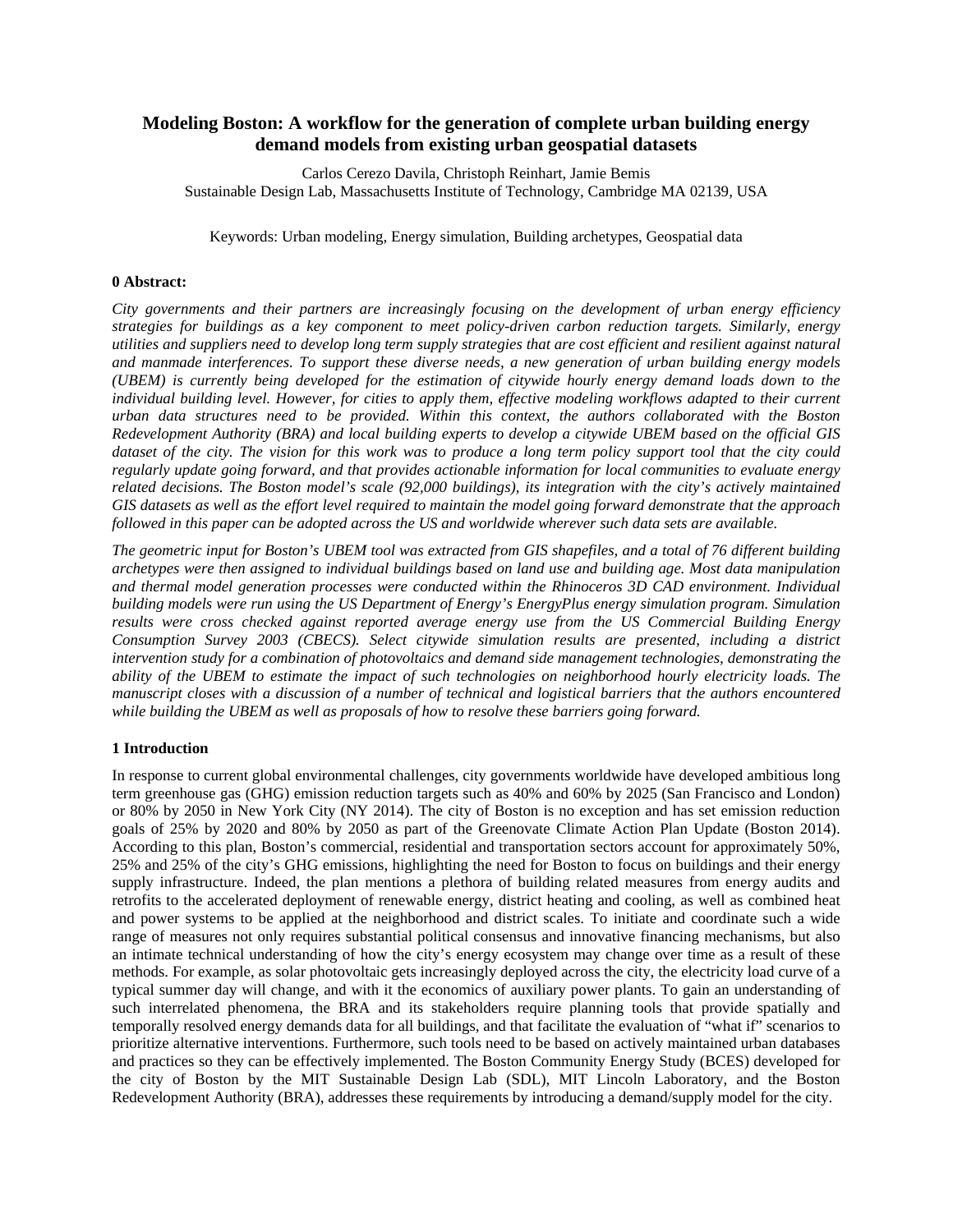# **Modeling Boston: A workflow for the generation of complete urban building energy demand models from existing urban geospatial datasets**

Carlos Cerezo Davila, Christoph Reinhart, Jamie Bemis Sustainable Design Lab, Massachusetts Institute of Technology, Cambridge MA 02139, USA

Keywords: Urban modeling, Energy simulation, Building archetypes, Geospatial data

#### **0 Abstract:**

*City governments and their partners are increasingly focusing on the development of urban energy efficiency strategies for buildings as a key component to meet policy-driven carbon reduction targets. Similarly, energy utilities and suppliers need to develop long term supply strategies that are cost efficient and resilient against natural and manmade interferences. To support these diverse needs, a new generation of urban building energy models (UBEM) is currently being developed for the estimation of citywide hourly energy demand loads down to the individual building level. However, for cities to apply them, effective modeling workflows adapted to their current urban data structures need to be provided. Within this context, the authors collaborated with the Boston Redevelopment Authority (BRA) and local building experts to develop a citywide UBEM based on the official GIS dataset of the city. The vision for this work was to produce a long term policy support tool that the city could regularly update going forward, and that provides actionable information for local communities to evaluate energy related decisions. The Boston model's scale (92,000 buildings), its integration with the city's actively maintained GIS datasets as well as the effort level required to maintain the model going forward demonstrate that the approach followed in this paper can be adopted across the US and worldwide wherever such data sets are available.* 

*The geometric input for Boston's UBEM tool was extracted from GIS shapefiles, and a total of 76 different building archetypes were then assigned to individual buildings based on land use and building age. Most data manipulation and thermal model generation processes were conducted within the Rhinoceros 3D CAD environment. Individual building models were run using the US Department of Energy's EnergyPlus energy simulation program. Simulation results were cross checked against reported average energy use from the US Commercial Building Energy Consumption Survey 2003 (CBECS). Select citywide simulation results are presented, including a district intervention study for a combination of photovoltaics and demand side management technologies, demonstrating the ability of the UBEM to estimate the impact of such technologies on neighborhood hourly electricity loads. The manuscript closes with a discussion of a number of technical and logistical barriers that the authors encountered while building the UBEM as well as proposals of how to resolve these barriers going forward.*

#### **1 Introduction**

In response to current global environmental challenges, city governments worldwide have developed ambitious long term greenhouse gas (GHG) emission reduction targets such as 40% and 60% by 2025 (San Francisco and London) or 80% by 2050 in New York City (NY 2014). The city of Boston is no exception and has set emission reduction goals of 25% by 2020 and 80% by 2050 as part of the Greenovate Climate Action Plan Update (Boston 2014). According to this plan, Boston's commercial, residential and transportation sectors account for approximately 50%, 25% and 25% of the city's GHG emissions, highlighting the need for Boston to focus on buildings and their energy supply infrastructure. Indeed, the plan mentions a plethora of building related measures from energy audits and retrofits to the accelerated deployment of renewable energy, district heating and cooling, as well as combined heat and power systems to be applied at the neighborhood and district scales. To initiate and coordinate such a wide range of measures not only requires substantial political consensus and innovative financing mechanisms, but also an intimate technical understanding of how the city's energy ecosystem may change over time as a result of these methods. For example, as solar photovoltaic gets increasingly deployed across the city, the electricity load curve of a typical summer day will change, and with it the economics of auxiliary power plants. To gain an understanding of such interrelated phenomena, the BRA and its stakeholders require planning tools that provide spatially and temporally resolved energy demands data for all buildings, and that facilitate the evaluation of "what if" scenarios to prioritize alternative interventions. Furthermore, such tools need to be based on actively maintained urban databases and practices so they can be effectively implemented. The Boston Community Energy Study (BCES) developed for the city of Boston by the MIT Sustainable Design Lab (SDL), MIT Lincoln Laboratory, and the Boston Redevelopment Authority (BRA), addresses these requirements by introducing a demand/supply model for the city.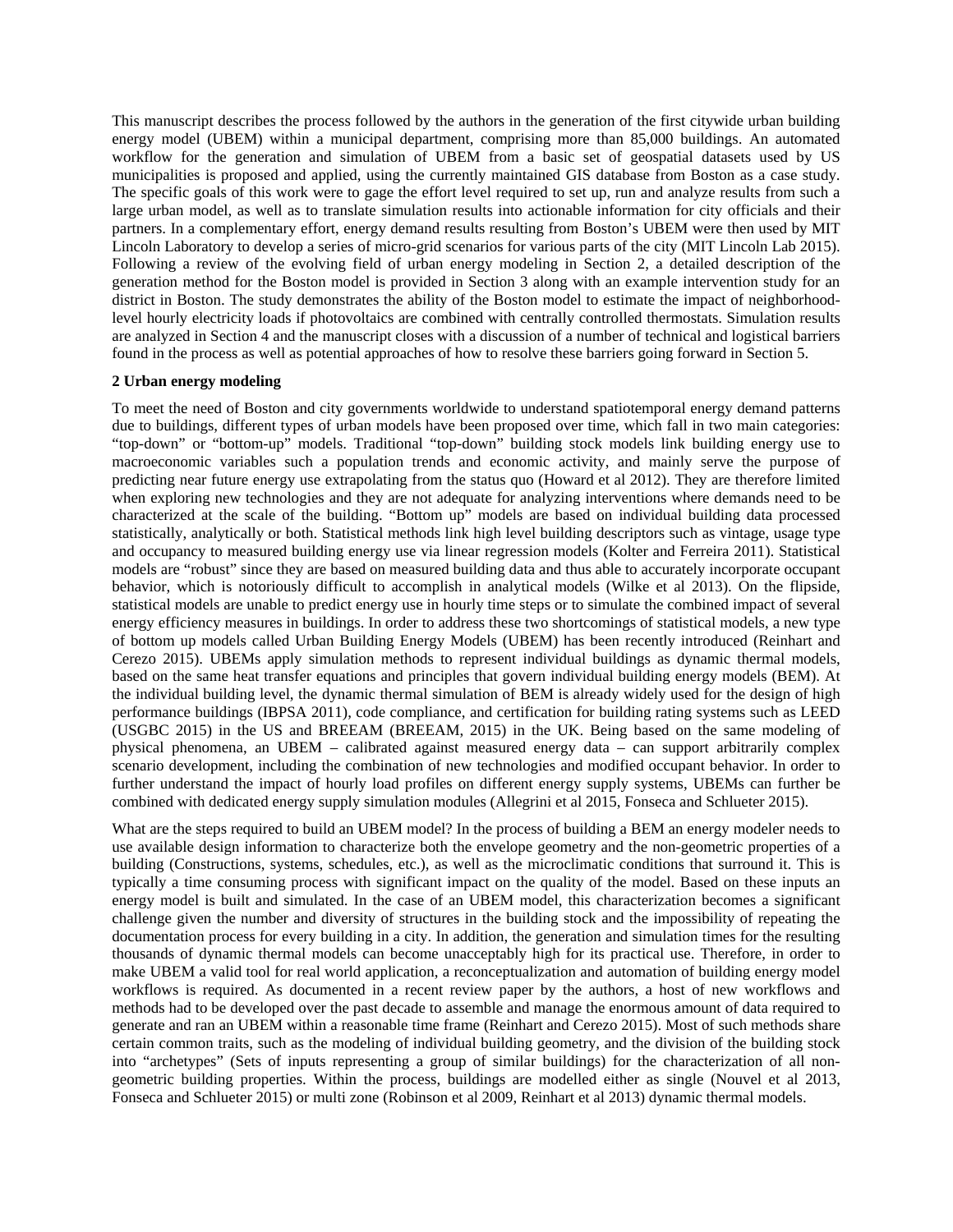This manuscript describes the process followed by the authors in the generation of the first citywide urban building energy model (UBEM) within a municipal department, comprising more than 85,000 buildings. An automated workflow for the generation and simulation of UBEM from a basic set of geospatial datasets used by US municipalities is proposed and applied, using the currently maintained GIS database from Boston as a case study. The specific goals of this work were to gage the effort level required to set up, run and analyze results from such a large urban model, as well as to translate simulation results into actionable information for city officials and their partners. In a complementary effort, energy demand results resulting from Boston's UBEM were then used by MIT Lincoln Laboratory to develop a series of micro-grid scenarios for various parts of the city (MIT Lincoln Lab 2015). Following a review of the evolving field of urban energy modeling in Section 2, a detailed description of the generation method for the Boston model is provided in Section 3 along with an example intervention study for an district in Boston. The study demonstrates the ability of the Boston model to estimate the impact of neighborhoodlevel hourly electricity loads if photovoltaics are combined with centrally controlled thermostats. Simulation results are analyzed in Section 4 and the manuscript closes with a discussion of a number of technical and logistical barriers found in the process as well as potential approaches of how to resolve these barriers going forward in Section 5.

#### **2 Urban energy modeling**

To meet the need of Boston and city governments worldwide to understand spatiotemporal energy demand patterns due to buildings, different types of urban models have been proposed over time, which fall in two main categories: "top-down" or "bottom-up" models. Traditional "top-down" building stock models link building energy use to macroeconomic variables such a population trends and economic activity, and mainly serve the purpose of predicting near future energy use extrapolating from the status quo (Howard et al 2012). They are therefore limited when exploring new technologies and they are not adequate for analyzing interventions where demands need to be characterized at the scale of the building. "Bottom up" models are based on individual building data processed statistically, analytically or both. Statistical methods link high level building descriptors such as vintage, usage type and occupancy to measured building energy use via linear regression models (Kolter and Ferreira 2011). Statistical models are "robust" since they are based on measured building data and thus able to accurately incorporate occupant behavior, which is notoriously difficult to accomplish in analytical models (Wilke et al 2013). On the flipside, statistical models are unable to predict energy use in hourly time steps or to simulate the combined impact of several energy efficiency measures in buildings. In order to address these two shortcomings of statistical models, a new type of bottom up models called Urban Building Energy Models (UBEM) has been recently introduced (Reinhart and Cerezo 2015). UBEMs apply simulation methods to represent individual buildings as dynamic thermal models, based on the same heat transfer equations and principles that govern individual building energy models (BEM). At the individual building level, the dynamic thermal simulation of BEM is already widely used for the design of high performance buildings (IBPSA 2011), code compliance, and certification for building rating systems such as LEED (USGBC 2015) in the US and BREEAM (BREEAM, 2015) in the UK. Being based on the same modeling of physical phenomena, an UBEM – calibrated against measured energy data – can support arbitrarily complex scenario development, including the combination of new technologies and modified occupant behavior. In order to further understand the impact of hourly load profiles on different energy supply systems, UBEMs can further be combined with dedicated energy supply simulation modules (Allegrini et al 2015, Fonseca and Schlueter 2015).

What are the steps required to build an UBEM model? In the process of building a BEM an energy modeler needs to use available design information to characterize both the envelope geometry and the non-geometric properties of a building (Constructions, systems, schedules, etc.), as well as the microclimatic conditions that surround it. This is typically a time consuming process with significant impact on the quality of the model. Based on these inputs an energy model is built and simulated. In the case of an UBEM model, this characterization becomes a significant challenge given the number and diversity of structures in the building stock and the impossibility of repeating the documentation process for every building in a city. In addition, the generation and simulation times for the resulting thousands of dynamic thermal models can become unacceptably high for its practical use. Therefore, in order to make UBEM a valid tool for real world application, a reconceptualization and automation of building energy model workflows is required. As documented in a recent review paper by the authors, a host of new workflows and methods had to be developed over the past decade to assemble and manage the enormous amount of data required to generate and ran an UBEM within a reasonable time frame (Reinhart and Cerezo 2015). Most of such methods share certain common traits, such as the modeling of individual building geometry, and the division of the building stock into "archetypes" (Sets of inputs representing a group of similar buildings) for the characterization of all nongeometric building properties. Within the process, buildings are modelled either as single (Nouvel et al 2013, Fonseca and Schlueter 2015) or multi zone (Robinson et al 2009, Reinhart et al 2013) dynamic thermal models.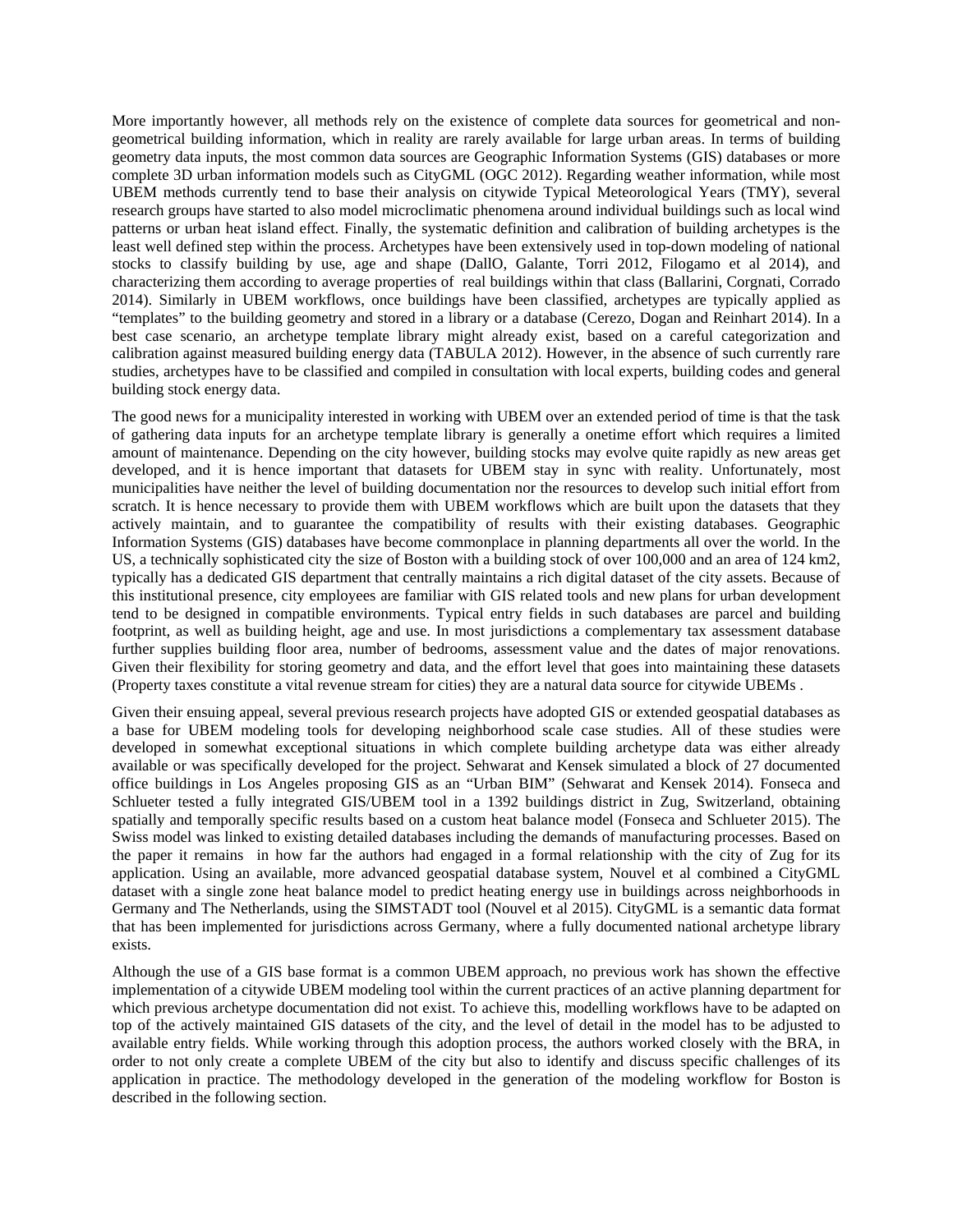More importantly however, all methods rely on the existence of complete data sources for geometrical and nongeometrical building information, which in reality are rarely available for large urban areas. In terms of building geometry data inputs, the most common data sources are Geographic Information Systems (GIS) databases or more complete 3D urban information models such as CityGML (OGC 2012). Regarding weather information, while most UBEM methods currently tend to base their analysis on citywide Typical Meteorological Years (TMY), several research groups have started to also model microclimatic phenomena around individual buildings such as local wind patterns or urban heat island effect. Finally, the systematic definition and calibration of building archetypes is the least well defined step within the process. Archetypes have been extensively used in top-down modeling of national stocks to classify building by use, age and shape (DallO, Galante, Torri 2012, Filogamo et al 2014), and characterizing them according to average properties of real buildings within that class (Ballarini, Corgnati, Corrado 2014). Similarly in UBEM workflows, once buildings have been classified, archetypes are typically applied as "templates" to the building geometry and stored in a library or a database (Cerezo, Dogan and Reinhart 2014). In a best case scenario, an archetype template library might already exist, based on a careful categorization and calibration against measured building energy data (TABULA 2012). However, in the absence of such currently rare studies, archetypes have to be classified and compiled in consultation with local experts, building codes and general building stock energy data.

The good news for a municipality interested in working with UBEM over an extended period of time is that the task of gathering data inputs for an archetype template library is generally a onetime effort which requires a limited amount of maintenance. Depending on the city however, building stocks may evolve quite rapidly as new areas get developed, and it is hence important that datasets for UBEM stay in sync with reality. Unfortunately, most municipalities have neither the level of building documentation nor the resources to develop such initial effort from scratch. It is hence necessary to provide them with UBEM workflows which are built upon the datasets that they actively maintain, and to guarantee the compatibility of results with their existing databases. Geographic Information Systems (GIS) databases have become commonplace in planning departments all over the world. In the US, a technically sophisticated city the size of Boston with a building stock of over 100,000 and an area of 124 km2, typically has a dedicated GIS department that centrally maintains a rich digital dataset of the city assets. Because of this institutional presence, city employees are familiar with GIS related tools and new plans for urban development tend to be designed in compatible environments. Typical entry fields in such databases are parcel and building footprint, as well as building height, age and use. In most jurisdictions a complementary tax assessment database further supplies building floor area, number of bedrooms, assessment value and the dates of major renovations. Given their flexibility for storing geometry and data, and the effort level that goes into maintaining these datasets (Property taxes constitute a vital revenue stream for cities) they are a natural data source for citywide UBEMs .

Given their ensuing appeal, several previous research projects have adopted GIS or extended geospatial databases as a base for UBEM modeling tools for developing neighborhood scale case studies. All of these studies were developed in somewhat exceptional situations in which complete building archetype data was either already available or was specifically developed for the project. Sehwarat and Kensek simulated a block of 27 documented office buildings in Los Angeles proposing GIS as an "Urban BIM" (Sehwarat and Kensek 2014). Fonseca and Schlueter tested a fully integrated GIS/UBEM tool in a 1392 buildings district in Zug, Switzerland, obtaining spatially and temporally specific results based on a custom heat balance model (Fonseca and Schlueter 2015). The Swiss model was linked to existing detailed databases including the demands of manufacturing processes. Based on the paper it remains in how far the authors had engaged in a formal relationship with the city of Zug for its application. Using an available, more advanced geospatial database system, Nouvel et al combined a CityGML dataset with a single zone heat balance model to predict heating energy use in buildings across neighborhoods in Germany and The Netherlands, using the SIMSTADT tool (Nouvel et al 2015). CityGML is a semantic data format that has been implemented for jurisdictions across Germany, where a fully documented national archetype library exists.

Although the use of a GIS base format is a common UBEM approach, no previous work has shown the effective implementation of a citywide UBEM modeling tool within the current practices of an active planning department for which previous archetype documentation did not exist. To achieve this, modelling workflows have to be adapted on top of the actively maintained GIS datasets of the city, and the level of detail in the model has to be adjusted to available entry fields. While working through this adoption process, the authors worked closely with the BRA, in order to not only create a complete UBEM of the city but also to identify and discuss specific challenges of its application in practice. The methodology developed in the generation of the modeling workflow for Boston is described in the following section.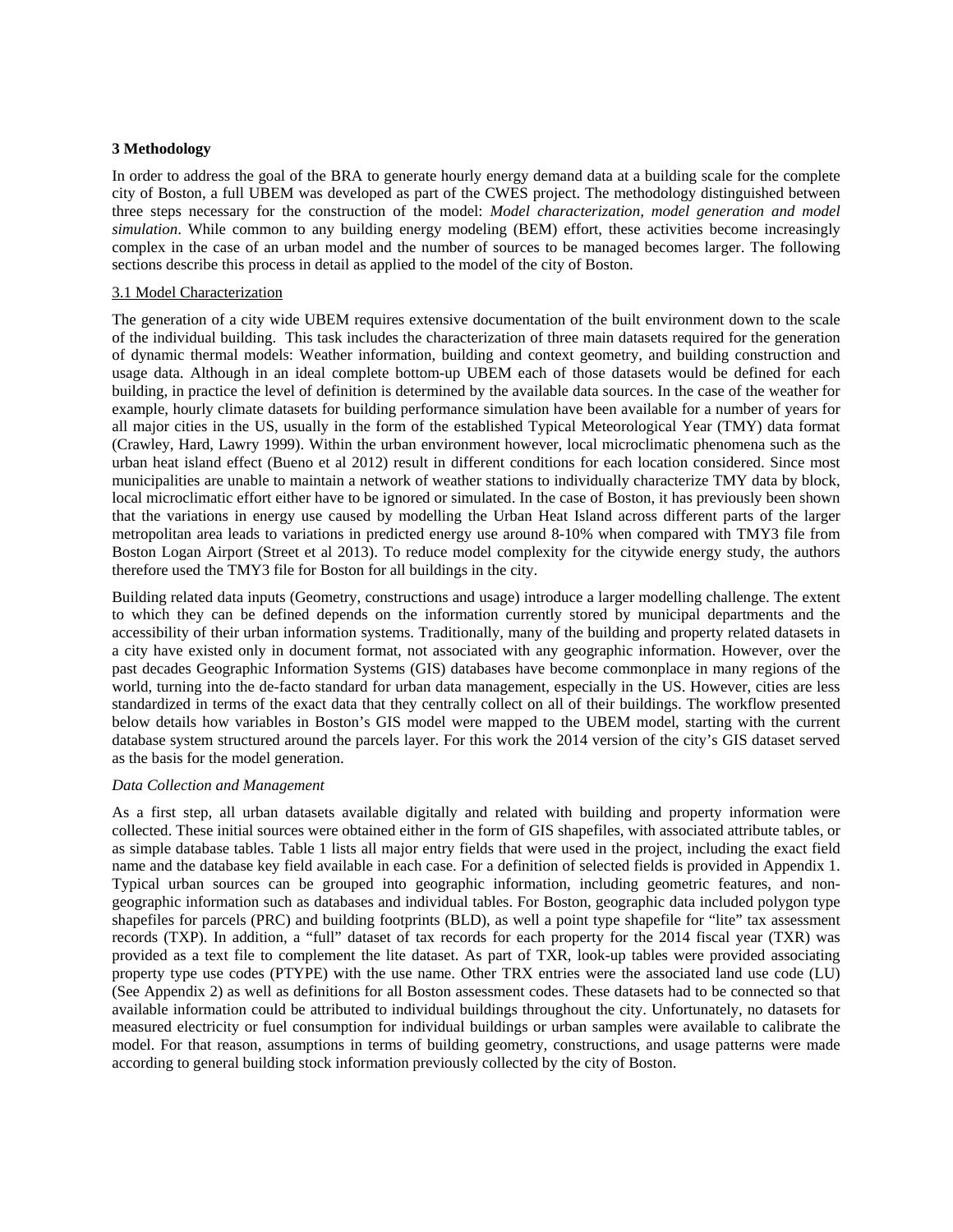#### **3 Methodology**

In order to address the goal of the BRA to generate hourly energy demand data at a building scale for the complete city of Boston, a full UBEM was developed as part of the CWES project. The methodology distinguished between three steps necessary for the construction of the model: *Model characterization, model generation and model simulation*. While common to any building energy modeling (BEM) effort, these activities become increasingly complex in the case of an urban model and the number of sources to be managed becomes larger. The following sections describe this process in detail as applied to the model of the city of Boston.

#### 3.1 Model Characterization

The generation of a city wide UBEM requires extensive documentation of the built environment down to the scale of the individual building. This task includes the characterization of three main datasets required for the generation of dynamic thermal models: Weather information, building and context geometry, and building construction and usage data. Although in an ideal complete bottom-up UBEM each of those datasets would be defined for each building, in practice the level of definition is determined by the available data sources. In the case of the weather for example, hourly climate datasets for building performance simulation have been available for a number of years for all major cities in the US, usually in the form of the established Typical Meteorological Year (TMY) data format (Crawley, Hard, Lawry 1999). Within the urban environment however, local microclimatic phenomena such as the urban heat island effect (Bueno et al 2012) result in different conditions for each location considered. Since most municipalities are unable to maintain a network of weather stations to individually characterize TMY data by block, local microclimatic effort either have to be ignored or simulated. In the case of Boston, it has previously been shown that the variations in energy use caused by modelling the Urban Heat Island across different parts of the larger metropolitan area leads to variations in predicted energy use around 8-10% when compared with TMY3 file from Boston Logan Airport (Street et al 2013). To reduce model complexity for the citywide energy study, the authors therefore used the TMY3 file for Boston for all buildings in the city.

Building related data inputs (Geometry, constructions and usage) introduce a larger modelling challenge. The extent to which they can be defined depends on the information currently stored by municipal departments and the accessibility of their urban information systems. Traditionally, many of the building and property related datasets in a city have existed only in document format, not associated with any geographic information. However, over the past decades Geographic Information Systems (GIS) databases have become commonplace in many regions of the world, turning into the de-facto standard for urban data management, especially in the US. However, cities are less standardized in terms of the exact data that they centrally collect on all of their buildings. The workflow presented below details how variables in Boston's GIS model were mapped to the UBEM model, starting with the current database system structured around the parcels layer. For this work the 2014 version of the city's GIS dataset served as the basis for the model generation.

# *Data Collection and Management*

As a first step, all urban datasets available digitally and related with building and property information were collected. These initial sources were obtained either in the form of GIS shapefiles, with associated attribute tables, or as simple database tables. Table 1 lists all major entry fields that were used in the project, including the exact field name and the database key field available in each case. For a definition of selected fields is provided in Appendix 1. Typical urban sources can be grouped into geographic information, including geometric features, and nongeographic information such as databases and individual tables. For Boston, geographic data included polygon type shapefiles for parcels (PRC) and building footprints (BLD), as well a point type shapefile for "lite" tax assessment records (TXP). In addition, a "full" dataset of tax records for each property for the 2014 fiscal year (TXR) was provided as a text file to complement the lite dataset. As part of TXR, look-up tables were provided associating property type use codes (PTYPE) with the use name. Other TRX entries were the associated land use code (LU) (See Appendix 2) as well as definitions for all Boston assessment codes. These datasets had to be connected so that available information could be attributed to individual buildings throughout the city. Unfortunately, no datasets for measured electricity or fuel consumption for individual buildings or urban samples were available to calibrate the model. For that reason, assumptions in terms of building geometry, constructions, and usage patterns were made according to general building stock information previously collected by the city of Boston.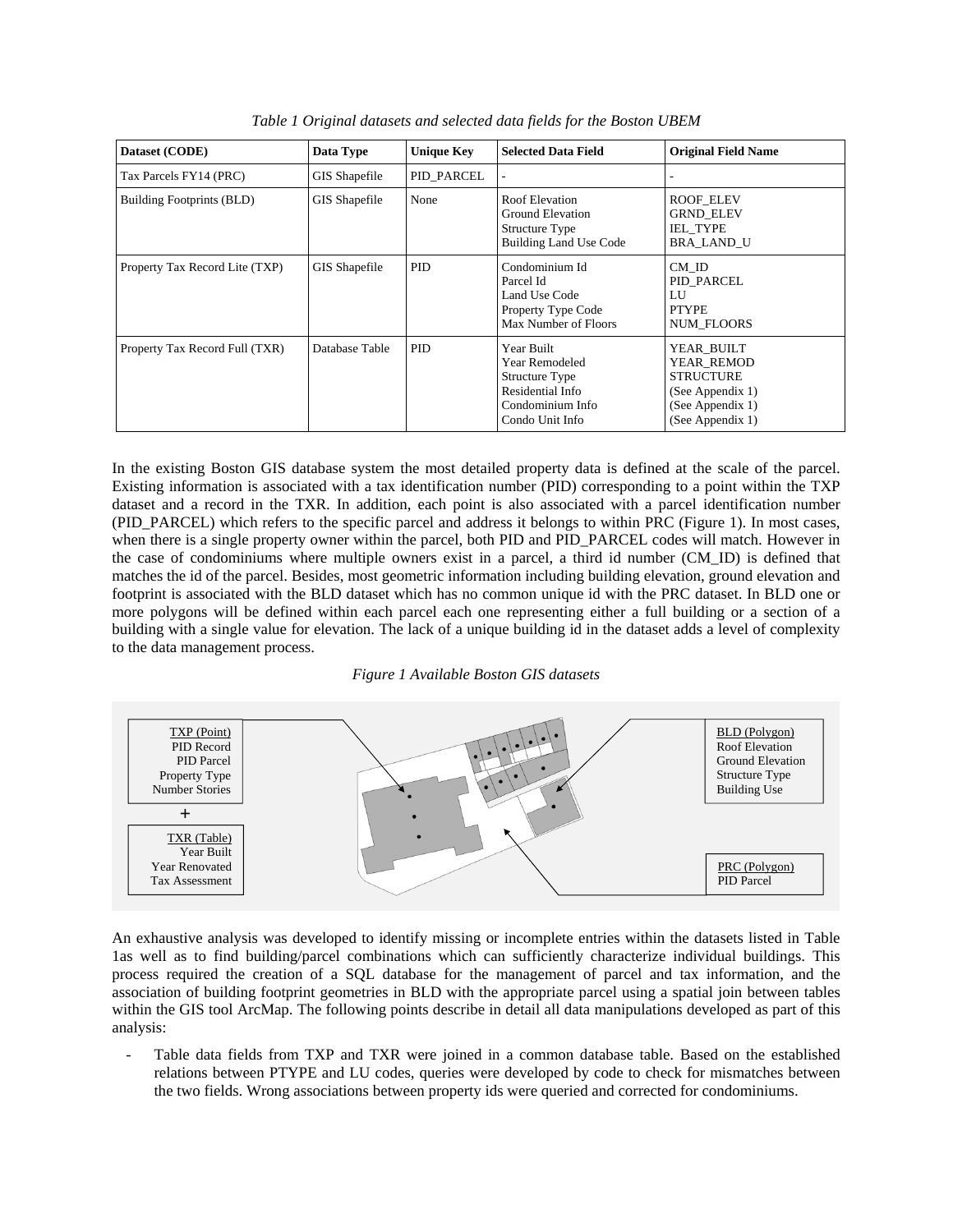| Dataset (CODE)                 | Data Type            | <b>Unique Key</b> | <b>Selected Data Field</b>                                                                                | <b>Original Field Name</b>                                                                               |
|--------------------------------|----------------------|-------------------|-----------------------------------------------------------------------------------------------------------|----------------------------------------------------------------------------------------------------------|
| Tax Parcels FY14 (PRC)         | <b>GIS Shapefile</b> | PID PARCEL        |                                                                                                           |                                                                                                          |
| Building Footprints (BLD)      | <b>GIS</b> Shapefile | None              | Roof Elevation<br>Ground Elevation<br>Structure Type<br><b>Building Land Use Code</b>                     | <b>ROOF ELEV</b><br><b>GRND ELEV</b><br><b>IEL TYPE</b><br><b>BRA LAND U</b>                             |
| Property Tax Record Lite (TXP) | GIS Shapefile        | <b>PID</b>        | Condominium Id<br>Parcel Id<br>Land Use Code<br>Property Type Code<br>Max Number of Floors                | CM ID<br>PID PARCEL<br>LU<br><b>PTYPE</b><br><b>NUM FLOORS</b>                                           |
| Property Tax Record Full (TXR) | Database Table       | PID.              | Year Built<br>Year Remodeled<br>Structure Type<br>Residential Info<br>Condominium Info<br>Condo Unit Info | YEAR BUILT<br>YEAR REMOD<br><b>STRUCTURE</b><br>(See Appendix 1)<br>(See Appendix 1)<br>(See Appendix 1) |

*Table 1 Original datasets and selected data fields for the Boston UBEM* 

In the existing Boston GIS database system the most detailed property data is defined at the scale of the parcel. Existing information is associated with a tax identification number (PID) corresponding to a point within the TXP dataset and a record in the TXR. In addition, each point is also associated with a parcel identification number (PID\_PARCEL) which refers to the specific parcel and address it belongs to within PRC (Figure 1). In most cases, when there is a single property owner within the parcel, both PID and PID\_PARCEL codes will match. However in the case of condominiums where multiple owners exist in a parcel, a third id number (CM\_ID) is defined that matches the id of the parcel. Besides, most geometric information including building elevation, ground elevation and footprint is associated with the BLD dataset which has no common unique id with the PRC dataset. In BLD one or more polygons will be defined within each parcel each one representing either a full building or a section of a building with a single value for elevation. The lack of a unique building id in the dataset adds a level of complexity to the data management process.

#### *Figure 1 Available Boston GIS datasets*



An exhaustive analysis was developed to identify missing or incomplete entries within the datasets listed in Table 1as well as to find building/parcel combinations which can sufficiently characterize individual buildings. This process required the creation of a SQL database for the management of parcel and tax information, and the association of building footprint geometries in BLD with the appropriate parcel using a spatial join between tables within the GIS tool ArcMap. The following points describe in detail all data manipulations developed as part of this analysis:

Table data fields from TXP and TXR were joined in a common database table. Based on the established relations between PTYPE and LU codes, queries were developed by code to check for mismatches between the two fields. Wrong associations between property ids were queried and corrected for condominiums.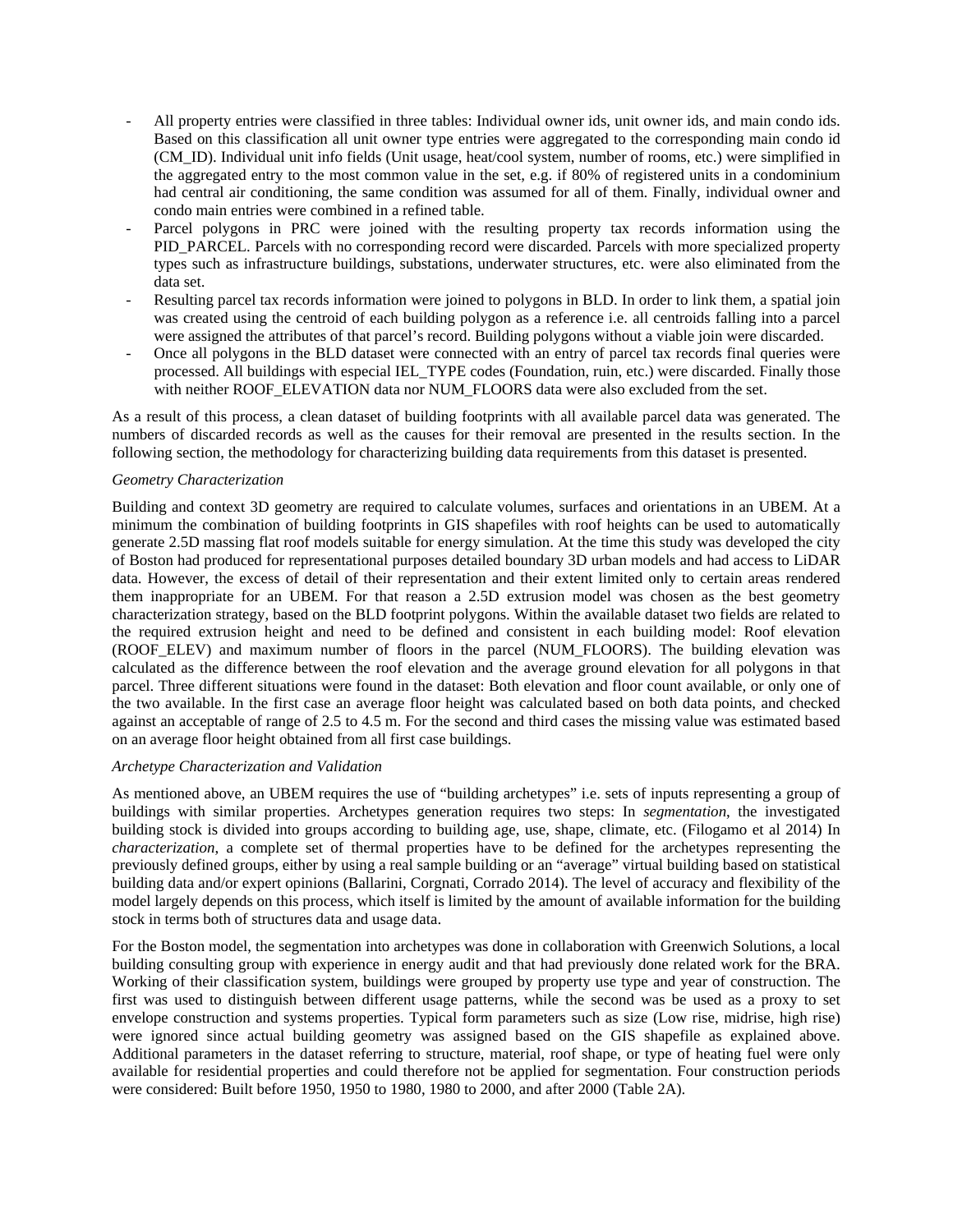- All property entries were classified in three tables: Individual owner ids, unit owner ids, and main condo ids. Based on this classification all unit owner type entries were aggregated to the corresponding main condo id (CM\_ID). Individual unit info fields (Unit usage, heat/cool system, number of rooms, etc.) were simplified in the aggregated entry to the most common value in the set, e.g. if 80% of registered units in a condominium had central air conditioning, the same condition was assumed for all of them. Finally, individual owner and condo main entries were combined in a refined table.
- Parcel polygons in PRC were joined with the resulting property tax records information using the PID\_PARCEL. Parcels with no corresponding record were discarded. Parcels with more specialized property types such as infrastructure buildings, substations, underwater structures, etc. were also eliminated from the data set.
- Resulting parcel tax records information were joined to polygons in BLD. In order to link them, a spatial join was created using the centroid of each building polygon as a reference i.e. all centroids falling into a parcel were assigned the attributes of that parcel's record. Building polygons without a viable join were discarded.
- Once all polygons in the BLD dataset were connected with an entry of parcel tax records final queries were processed. All buildings with especial IEL\_TYPE codes (Foundation, ruin, etc.) were discarded. Finally those with neither ROOF\_ELEVATION data nor NUM\_FLOORS data were also excluded from the set.

As a result of this process, a clean dataset of building footprints with all available parcel data was generated. The numbers of discarded records as well as the causes for their removal are presented in the results section. In the following section, the methodology for characterizing building data requirements from this dataset is presented.

#### *Geometry Characterization*

Building and context 3D geometry are required to calculate volumes, surfaces and orientations in an UBEM. At a minimum the combination of building footprints in GIS shapefiles with roof heights can be used to automatically generate 2.5D massing flat roof models suitable for energy simulation. At the time this study was developed the city of Boston had produced for representational purposes detailed boundary 3D urban models and had access to LiDAR data. However, the excess of detail of their representation and their extent limited only to certain areas rendered them inappropriate for an UBEM. For that reason a 2.5D extrusion model was chosen as the best geometry characterization strategy, based on the BLD footprint polygons. Within the available dataset two fields are related to the required extrusion height and need to be defined and consistent in each building model: Roof elevation (ROOF\_ELEV) and maximum number of floors in the parcel (NUM\_FLOORS). The building elevation was calculated as the difference between the roof elevation and the average ground elevation for all polygons in that parcel. Three different situations were found in the dataset: Both elevation and floor count available, or only one of the two available. In the first case an average floor height was calculated based on both data points, and checked against an acceptable of range of 2.5 to 4.5 m. For the second and third cases the missing value was estimated based on an average floor height obtained from all first case buildings.

#### *Archetype Characterization and Validation*

As mentioned above, an UBEM requires the use of "building archetypes" i.e. sets of inputs representing a group of buildings with similar properties. Archetypes generation requires two steps: In *segmentation*, the investigated building stock is divided into groups according to building age, use, shape, climate, etc. (Filogamo et al 2014) In *characterization*, a complete set of thermal properties have to be defined for the archetypes representing the previously defined groups, either by using a real sample building or an "average" virtual building based on statistical building data and/or expert opinions (Ballarini, Corgnati, Corrado 2014). The level of accuracy and flexibility of the model largely depends on this process, which itself is limited by the amount of available information for the building stock in terms both of structures data and usage data.

For the Boston model, the segmentation into archetypes was done in collaboration with Greenwich Solutions, a local building consulting group with experience in energy audit and that had previously done related work for the BRA. Working of their classification system, buildings were grouped by property use type and year of construction. The first was used to distinguish between different usage patterns, while the second was be used as a proxy to set envelope construction and systems properties. Typical form parameters such as size (Low rise, midrise, high rise) were ignored since actual building geometry was assigned based on the GIS shapefile as explained above. Additional parameters in the dataset referring to structure, material, roof shape, or type of heating fuel were only available for residential properties and could therefore not be applied for segmentation. Four construction periods were considered: Built before 1950, 1950 to 1980, 1980 to 2000, and after 2000 (Table 2A).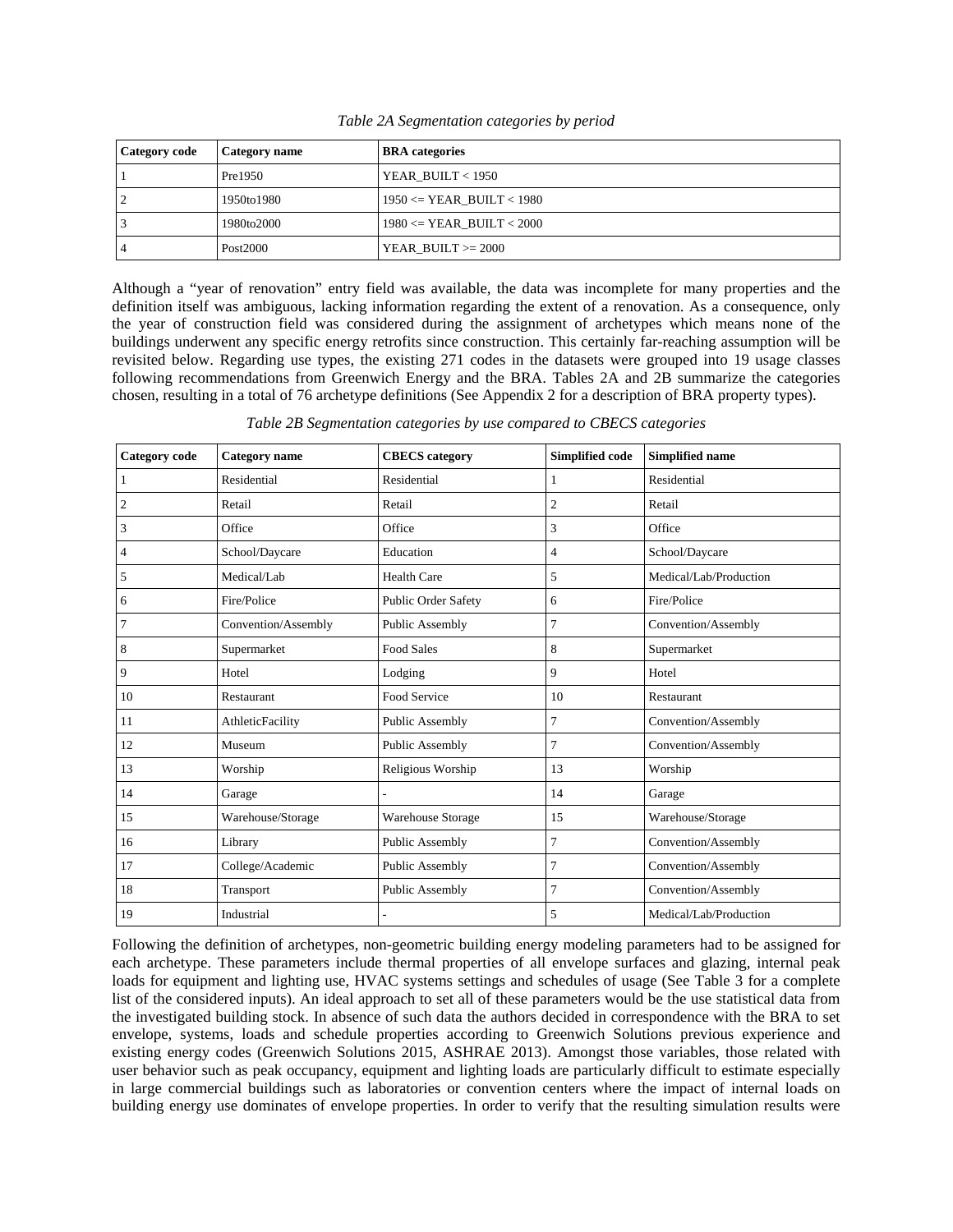| <b>Category code</b> | Category name | <b>BRA</b> categories         |
|----------------------|---------------|-------------------------------|
|                      | Pre1950       | YEAR BUILT $<$ 1950           |
| 2                    | 1950to1980    | $1950 \leq YEAR$ BUILT < 1980 |
|                      | 1980to2000    | $1980 \leq YEAR$ BUILT < 2000 |
|                      | Post2000      | YEAR BUILT $>=$ 2000          |

*Table 2A Segmentation categories by period* 

Although a "year of renovation" entry field was available, the data was incomplete for many properties and the definition itself was ambiguous, lacking information regarding the extent of a renovation. As a consequence, only the year of construction field was considered during the assignment of archetypes which means none of the buildings underwent any specific energy retrofits since construction. This certainly far-reaching assumption will be revisited below. Regarding use types, the existing 271 codes in the datasets were grouped into 19 usage classes following recommendations from Greenwich Energy and the BRA. Tables 2A and 2B summarize the categories chosen, resulting in a total of 76 archetype definitions (See Appendix 2 for a description of BRA property types).

*Table 2B Segmentation categories by use compared to CBECS categories* 

| Category code    | <b>Category</b> name    | <b>CBECS</b> category      | Simplified code | Simplified name        |
|------------------|-------------------------|----------------------------|-----------------|------------------------|
| $\mathbf{1}$     | Residential             | Residential                | 1               | Residential            |
| $\boldsymbol{2}$ | Retail                  | Retail                     | $\overline{c}$  | Retail                 |
| 3                | Office                  | Office                     | 3               | Office                 |
| 4                | School/Daycare          | Education                  | 4               | School/Daycare         |
| 5                | Medical/Lab             | <b>Health Care</b>         | 5               | Medical/Lab/Production |
| 6                | Fire/Police             | <b>Public Order Safety</b> | 6               | Fire/Police            |
| 7                | Convention/Assembly     | Public Assembly            | 7               | Convention/Assembly    |
| 8                | Supermarket             | <b>Food Sales</b>          | 8               | Supermarket            |
| 9                | Hotel                   | Lodging                    | 9               | Hotel                  |
| 10               | Restaurant              | Food Service               | 10              | Restaurant             |
| 11               | <b>AthleticFacility</b> | <b>Public Assembly</b>     | 7               | Convention/Assembly    |
| 12               | Museum                  | Public Assembly            | $\overline{7}$  | Convention/Assembly    |
| 13               | Worship                 | Religious Worship          | 13              | Worship                |
| 14               | Garage                  |                            | 14              | Garage                 |
| 15               | Warehouse/Storage       | <b>Warehouse Storage</b>   | 15              | Warehouse/Storage      |
| 16               | Library                 | <b>Public Assembly</b>     | 7               | Convention/Assembly    |
| 17               | College/Academic        | Public Assembly            | 7               | Convention/Assembly    |
| 18               | Transport               | Public Assembly            | $\overline{7}$  | Convention/Assembly    |
| 19               | Industrial              |                            | 5               | Medical/Lab/Production |

Following the definition of archetypes, non-geometric building energy modeling parameters had to be assigned for each archetype. These parameters include thermal properties of all envelope surfaces and glazing, internal peak loads for equipment and lighting use, HVAC systems settings and schedules of usage (See Table 3 for a complete list of the considered inputs). An ideal approach to set all of these parameters would be the use statistical data from the investigated building stock. In absence of such data the authors decided in correspondence with the BRA to set envelope, systems, loads and schedule properties according to Greenwich Solutions previous experience and existing energy codes (Greenwich Solutions 2015, ASHRAE 2013). Amongst those variables, those related with user behavior such as peak occupancy, equipment and lighting loads are particularly difficult to estimate especially in large commercial buildings such as laboratories or convention centers where the impact of internal loads on building energy use dominates of envelope properties. In order to verify that the resulting simulation results were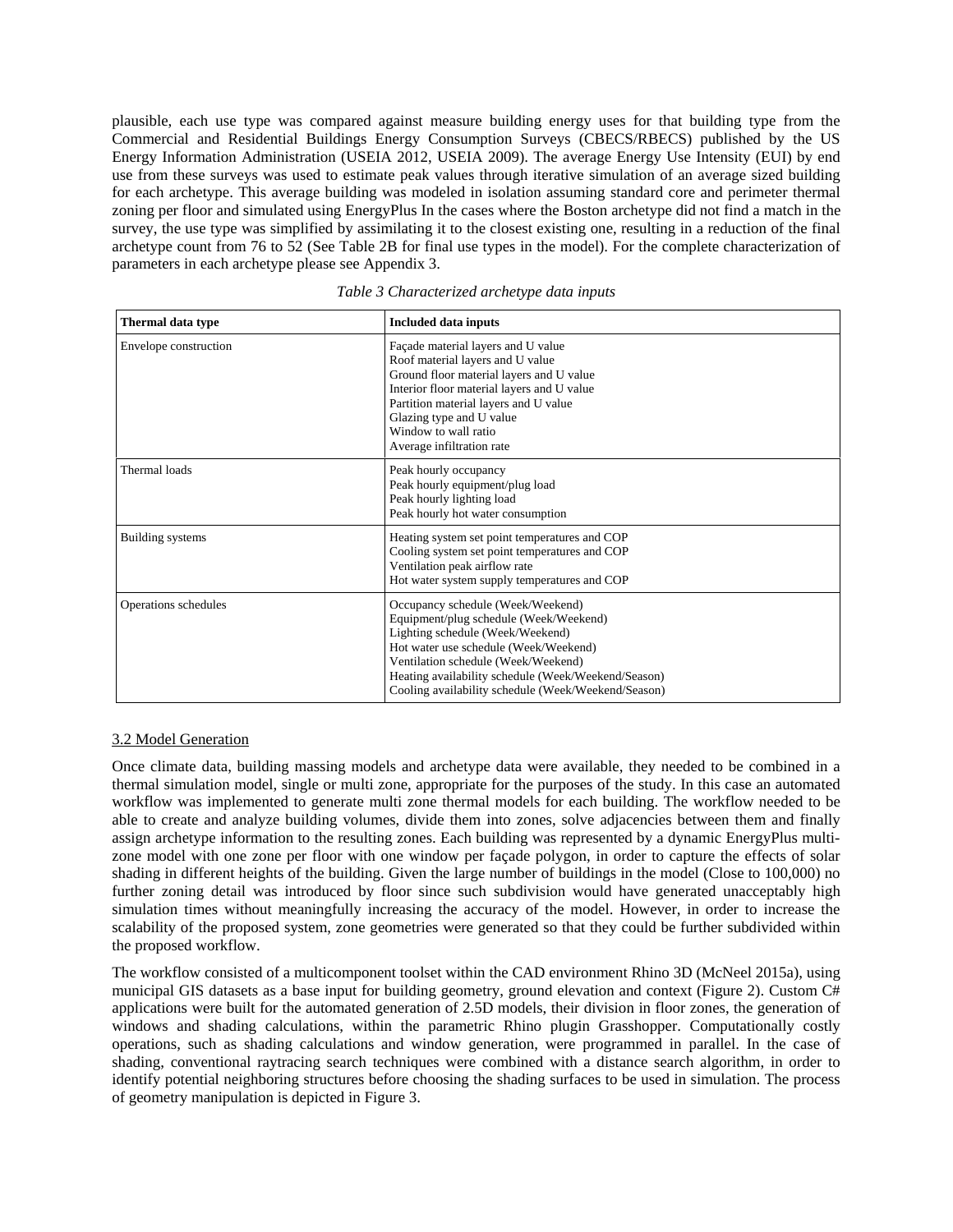plausible, each use type was compared against measure building energy uses for that building type from the Commercial and Residential Buildings Energy Consumption Surveys (CBECS/RBECS) published by the US Energy Information Administration (USEIA 2012, USEIA 2009). The average Energy Use Intensity (EUI) by end use from these surveys was used to estimate peak values through iterative simulation of an average sized building for each archetype. This average building was modeled in isolation assuming standard core and perimeter thermal zoning per floor and simulated using EnergyPlus In the cases where the Boston archetype did not find a match in the survey, the use type was simplified by assimilating it to the closest existing one, resulting in a reduction of the final archetype count from 76 to 52 (See Table 2B for final use types in the model). For the complete characterization of parameters in each archetype please see Appendix 3.

| Thermal data type     | <b>Included data inputs</b>                                                                                                                                                                                                                                                                                   |
|-----------------------|---------------------------------------------------------------------------------------------------------------------------------------------------------------------------------------------------------------------------------------------------------------------------------------------------------------|
| Envelope construction | Façade material layers and U value<br>Roof material layers and U value<br>Ground floor material layers and U value<br>Interior floor material layers and U value<br>Partition material layers and U value<br>Glazing type and U value<br>Window to wall ratio<br>Average infiltration rate                    |
| Thermal loads         | Peak hourly occupancy<br>Peak hourly equipment/plug load<br>Peak hourly lighting load<br>Peak hourly hot water consumption                                                                                                                                                                                    |
| Building systems      | Heating system set point temperatures and COP<br>Cooling system set point temperatures and COP<br>Ventilation peak airflow rate<br>Hot water system supply temperatures and COP                                                                                                                               |
| Operations schedules  | Occupancy schedule (Week/Weekend)<br>Equipment/plug schedule (Week/Weekend)<br>Lighting schedule (Week/Weekend)<br>Hot water use schedule (Week/Weekend)<br>Ventilation schedule (Week/Weekend)<br>Heating availability schedule (Week/Weekend/Season)<br>Cooling availability schedule (Week/Weekend/Season) |

*Table 3 Characterized archetype data inputs* 

#### 3.2 Model Generation

Once climate data, building massing models and archetype data were available, they needed to be combined in a thermal simulation model, single or multi zone, appropriate for the purposes of the study. In this case an automated workflow was implemented to generate multi zone thermal models for each building. The workflow needed to be able to create and analyze building volumes, divide them into zones, solve adjacencies between them and finally assign archetype information to the resulting zones. Each building was represented by a dynamic EnergyPlus multizone model with one zone per floor with one window per façade polygon, in order to capture the effects of solar shading in different heights of the building. Given the large number of buildings in the model (Close to 100,000) no further zoning detail was introduced by floor since such subdivision would have generated unacceptably high simulation times without meaningfully increasing the accuracy of the model. However, in order to increase the scalability of the proposed system, zone geometries were generated so that they could be further subdivided within the proposed workflow.

The workflow consisted of a multicomponent toolset within the CAD environment Rhino 3D (McNeel 2015a), using municipal GIS datasets as a base input for building geometry, ground elevation and context (Figure 2). Custom C# applications were built for the automated generation of 2.5D models, their division in floor zones, the generation of windows and shading calculations, within the parametric Rhino plugin Grasshopper. Computationally costly operations, such as shading calculations and window generation, were programmed in parallel. In the case of shading, conventional raytracing search techniques were combined with a distance search algorithm, in order to identify potential neighboring structures before choosing the shading surfaces to be used in simulation. The process of geometry manipulation is depicted in Figure 3.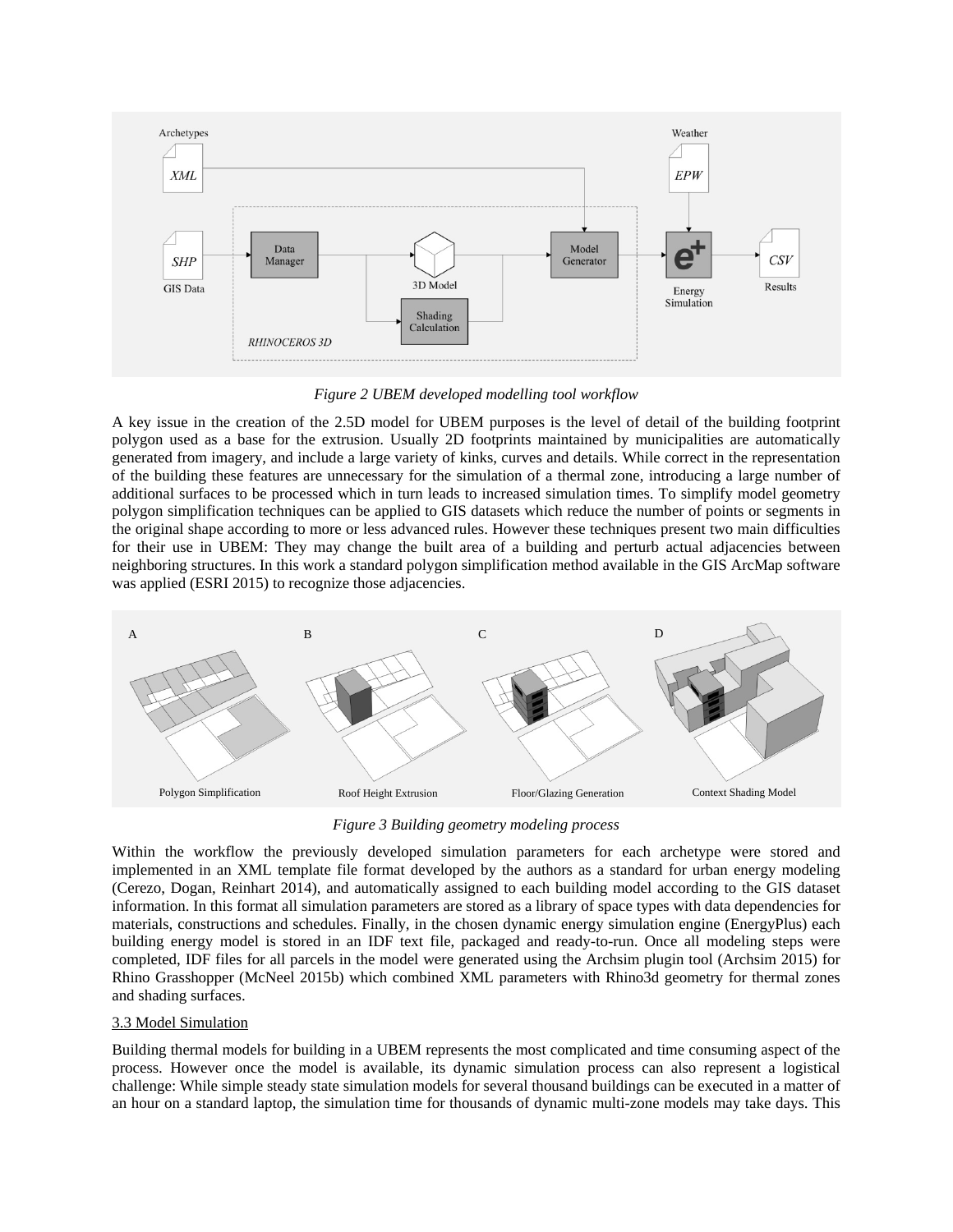

*Figure 2 UBEM developed modelling tool workflow*

A key issue in the creation of the 2.5D model for UBEM purposes is the level of detail of the building footprint polygon used as a base for the extrusion. Usually 2D footprints maintained by municipalities are automatically generated from imagery, and include a large variety of kinks, curves and details. While correct in the representation of the building these features are unnecessary for the simulation of a thermal zone, introducing a large number of additional surfaces to be processed which in turn leads to increased simulation times. To simplify model geometry polygon simplification techniques can be applied to GIS datasets which reduce the number of points or segments in the original shape according to more or less advanced rules. However these techniques present two main difficulties for their use in UBEM: They may change the built area of a building and perturb actual adjacencies between neighboring structures. In this work a standard polygon simplification method available in the GIS ArcMap software was applied (ESRI 2015) to recognize those adjacencies.



*Figure 3 Building geometry modeling process*

Within the workflow the previously developed simulation parameters for each archetype were stored and implemented in an XML template file format developed by the authors as a standard for urban energy modeling (Cerezo, Dogan, Reinhart 2014), and automatically assigned to each building model according to the GIS dataset information. In this format all simulation parameters are stored as a library of space types with data dependencies for materials, constructions and schedules. Finally, in the chosen dynamic energy simulation engine (EnergyPlus) each building energy model is stored in an IDF text file, packaged and ready-to-run. Once all modeling steps were completed, IDF files for all parcels in the model were generated using the Archsim plugin tool (Archsim 2015) for Rhino Grasshopper (McNeel 2015b) which combined XML parameters with Rhino3d geometry for thermal zones and shading surfaces.

## 3.3 Model Simulation

Building thermal models for building in a UBEM represents the most complicated and time consuming aspect of the process. However once the model is available, its dynamic simulation process can also represent a logistical challenge: While simple steady state simulation models for several thousand buildings can be executed in a matter of an hour on a standard laptop, the simulation time for thousands of dynamic multi-zone models may take days. This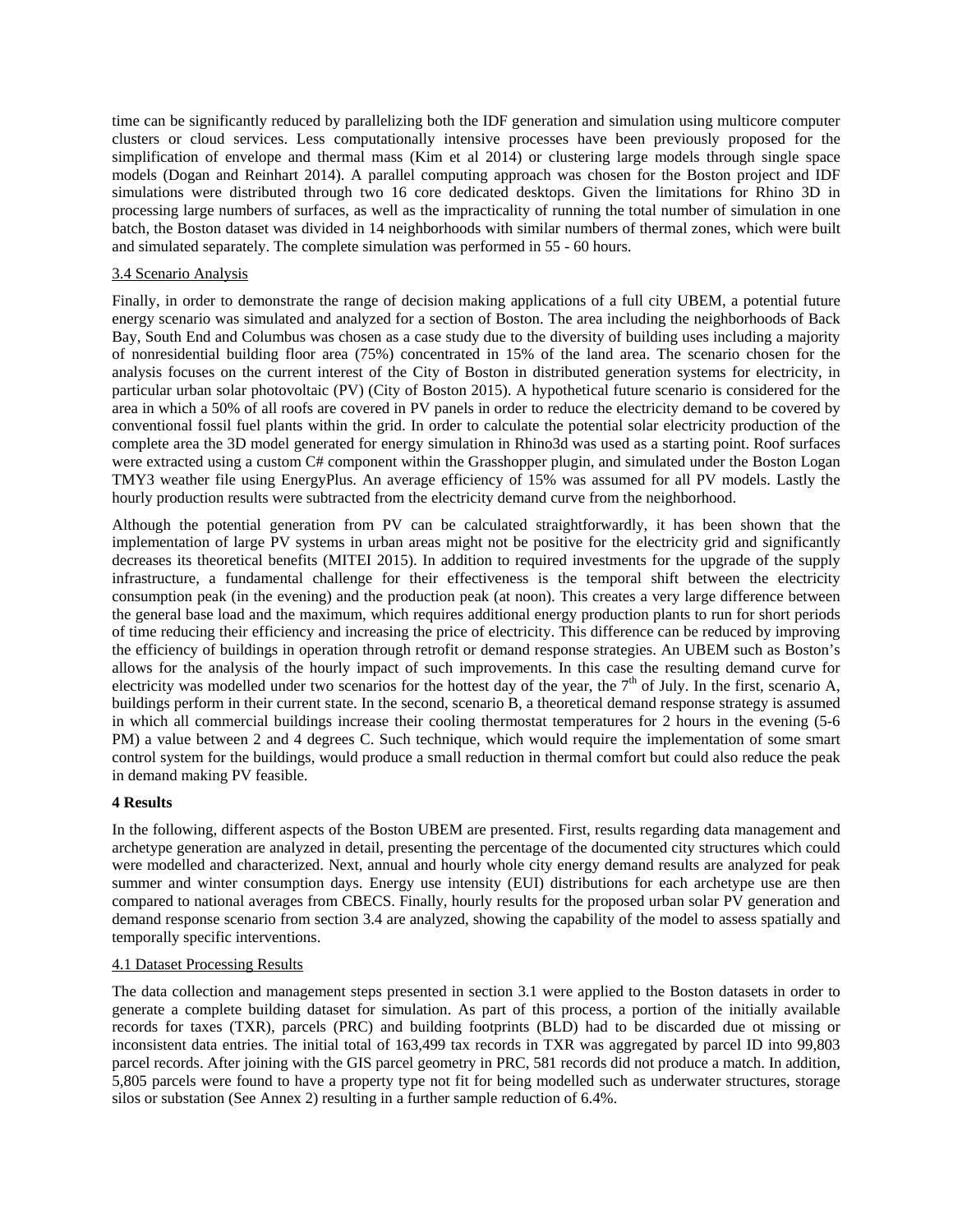time can be significantly reduced by parallelizing both the IDF generation and simulation using multicore computer clusters or cloud services. Less computationally intensive processes have been previously proposed for the simplification of envelope and thermal mass (Kim et al 2014) or clustering large models through single space models (Dogan and Reinhart 2014). A parallel computing approach was chosen for the Boston project and IDF simulations were distributed through two 16 core dedicated desktops. Given the limitations for Rhino 3D in processing large numbers of surfaces, as well as the impracticality of running the total number of simulation in one batch, the Boston dataset was divided in 14 neighborhoods with similar numbers of thermal zones, which were built and simulated separately. The complete simulation was performed in 55 - 60 hours.

## 3.4 Scenario Analysis

Finally, in order to demonstrate the range of decision making applications of a full city UBEM, a potential future energy scenario was simulated and analyzed for a section of Boston. The area including the neighborhoods of Back Bay, South End and Columbus was chosen as a case study due to the diversity of building uses including a majority of nonresidential building floor area (75%) concentrated in 15% of the land area. The scenario chosen for the analysis focuses on the current interest of the City of Boston in distributed generation systems for electricity, in particular urban solar photovoltaic (PV) (City of Boston 2015). A hypothetical future scenario is considered for the area in which a 50% of all roofs are covered in PV panels in order to reduce the electricity demand to be covered by conventional fossil fuel plants within the grid. In order to calculate the potential solar electricity production of the complete area the 3D model generated for energy simulation in Rhino3d was used as a starting point. Roof surfaces were extracted using a custom C# component within the Grasshopper plugin, and simulated under the Boston Logan TMY3 weather file using EnergyPlus. An average efficiency of 15% was assumed for all PV models. Lastly the hourly production results were subtracted from the electricity demand curve from the neighborhood.

Although the potential generation from PV can be calculated straightforwardly, it has been shown that the implementation of large PV systems in urban areas might not be positive for the electricity grid and significantly decreases its theoretical benefits (MITEI 2015). In addition to required investments for the upgrade of the supply infrastructure, a fundamental challenge for their effectiveness is the temporal shift between the electricity consumption peak (in the evening) and the production peak (at noon). This creates a very large difference between the general base load and the maximum, which requires additional energy production plants to run for short periods of time reducing their efficiency and increasing the price of electricity. This difference can be reduced by improving the efficiency of buildings in operation through retrofit or demand response strategies. An UBEM such as Boston's allows for the analysis of the hourly impact of such improvements. In this case the resulting demand curve for electricity was modelled under two scenarios for the hottest day of the year, the  $7<sup>th</sup>$  of July. In the first, scenario A, buildings perform in their current state. In the second, scenario B, a theoretical demand response strategy is assumed in which all commercial buildings increase their cooling thermostat temperatures for 2 hours in the evening (5-6 PM) a value between 2 and 4 degrees C. Such technique, which would require the implementation of some smart control system for the buildings, would produce a small reduction in thermal comfort but could also reduce the peak in demand making PV feasible.

#### **4 Results**

In the following, different aspects of the Boston UBEM are presented. First, results regarding data management and archetype generation are analyzed in detail, presenting the percentage of the documented city structures which could were modelled and characterized. Next, annual and hourly whole city energy demand results are analyzed for peak summer and winter consumption days. Energy use intensity (EUI) distributions for each archetype use are then compared to national averages from CBECS. Finally, hourly results for the proposed urban solar PV generation and demand response scenario from section 3.4 are analyzed, showing the capability of the model to assess spatially and temporally specific interventions.

#### 4.1 Dataset Processing Results

The data collection and management steps presented in section 3.1 were applied to the Boston datasets in order to generate a complete building dataset for simulation. As part of this process, a portion of the initially available records for taxes (TXR), parcels (PRC) and building footprints (BLD) had to be discarded due ot missing or inconsistent data entries. The initial total of 163,499 tax records in TXR was aggregated by parcel ID into 99,803 parcel records. After joining with the GIS parcel geometry in PRC, 581 records did not produce a match. In addition, 5,805 parcels were found to have a property type not fit for being modelled such as underwater structures, storage silos or substation (See Annex 2) resulting in a further sample reduction of 6.4%.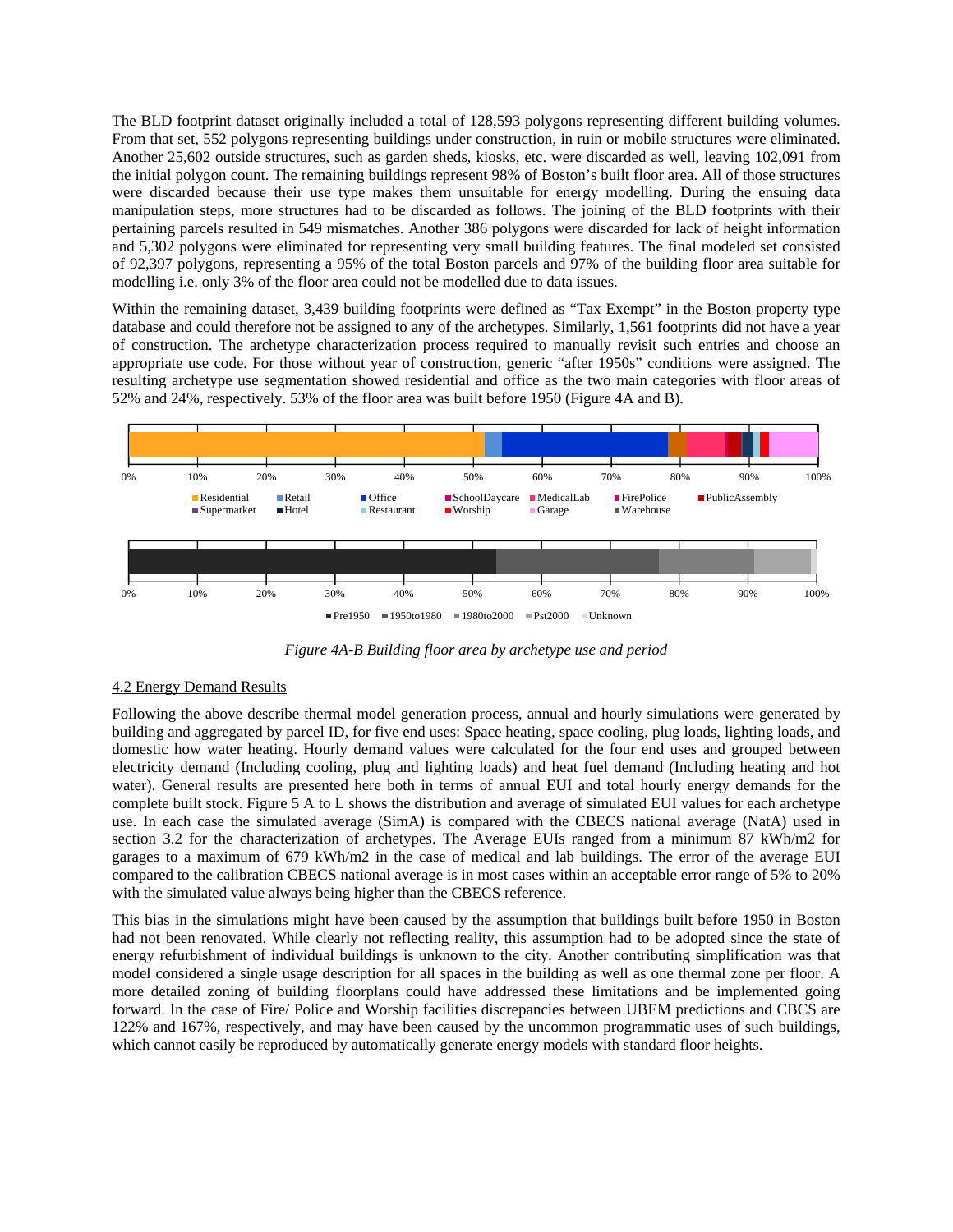The BLD footprint dataset originally included a total of 128,593 polygons representing different building volumes. From that set, 552 polygons representing buildings under construction, in ruin or mobile structures were eliminated. Another 25,602 outside structures, such as garden sheds, kiosks, etc. were discarded as well, leaving 102,091 from the initial polygon count. The remaining buildings represent 98% of Boston's built floor area. All of those structures were discarded because their use type makes them unsuitable for energy modelling. During the ensuing data manipulation steps, more structures had to be discarded as follows. The joining of the BLD footprints with their pertaining parcels resulted in 549 mismatches. Another 386 polygons were discarded for lack of height information and 5,302 polygons were eliminated for representing very small building features. The final modeled set consisted of 92,397 polygons, representing a 95% of the total Boston parcels and 97% of the building floor area suitable for modelling i.e. only 3% of the floor area could not be modelled due to data issues.

Within the remaining dataset, 3,439 building footprints were defined as "Tax Exempt" in the Boston property type database and could therefore not be assigned to any of the archetypes. Similarly, 1,561 footprints did not have a year of construction. The archetype characterization process required to manually revisit such entries and choose an appropriate use code. For those without year of construction, generic "after 1950s" conditions were assigned. The resulting archetype use segmentation showed residential and office as the two main categories with floor areas of 52% and 24%, respectively. 53% of the floor area was built before 1950 (Figure 4A and B).



*Figure 4A-B Building floor area by archetype use and period* 

## 4.2 Energy Demand Results

Following the above describe thermal model generation process, annual and hourly simulations were generated by building and aggregated by parcel ID, for five end uses: Space heating, space cooling, plug loads, lighting loads, and domestic how water heating. Hourly demand values were calculated for the four end uses and grouped between electricity demand (Including cooling, plug and lighting loads) and heat fuel demand (Including heating and hot water). General results are presented here both in terms of annual EUI and total hourly energy demands for the complete built stock. Figure 5 A to L shows the distribution and average of simulated EUI values for each archetype use. In each case the simulated average (SimA) is compared with the CBECS national average (NatA) used in section 3.2 for the characterization of archetypes. The Average EUIs ranged from a minimum 87 kWh/m2 for garages to a maximum of 679 kWh/m2 in the case of medical and lab buildings. The error of the average EUI compared to the calibration CBECS national average is in most cases within an acceptable error range of 5% to 20% with the simulated value always being higher than the CBECS reference.

This bias in the simulations might have been caused by the assumption that buildings built before 1950 in Boston had not been renovated. While clearly not reflecting reality, this assumption had to be adopted since the state of energy refurbishment of individual buildings is unknown to the city. Another contributing simplification was that model considered a single usage description for all spaces in the building as well as one thermal zone per floor. A more detailed zoning of building floorplans could have addressed these limitations and be implemented going forward. In the case of Fire/ Police and Worship facilities discrepancies between UBEM predictions and CBCS are 122% and 167%, respectively, and may have been caused by the uncommon programmatic uses of such buildings, which cannot easily be reproduced by automatically generate energy models with standard floor heights.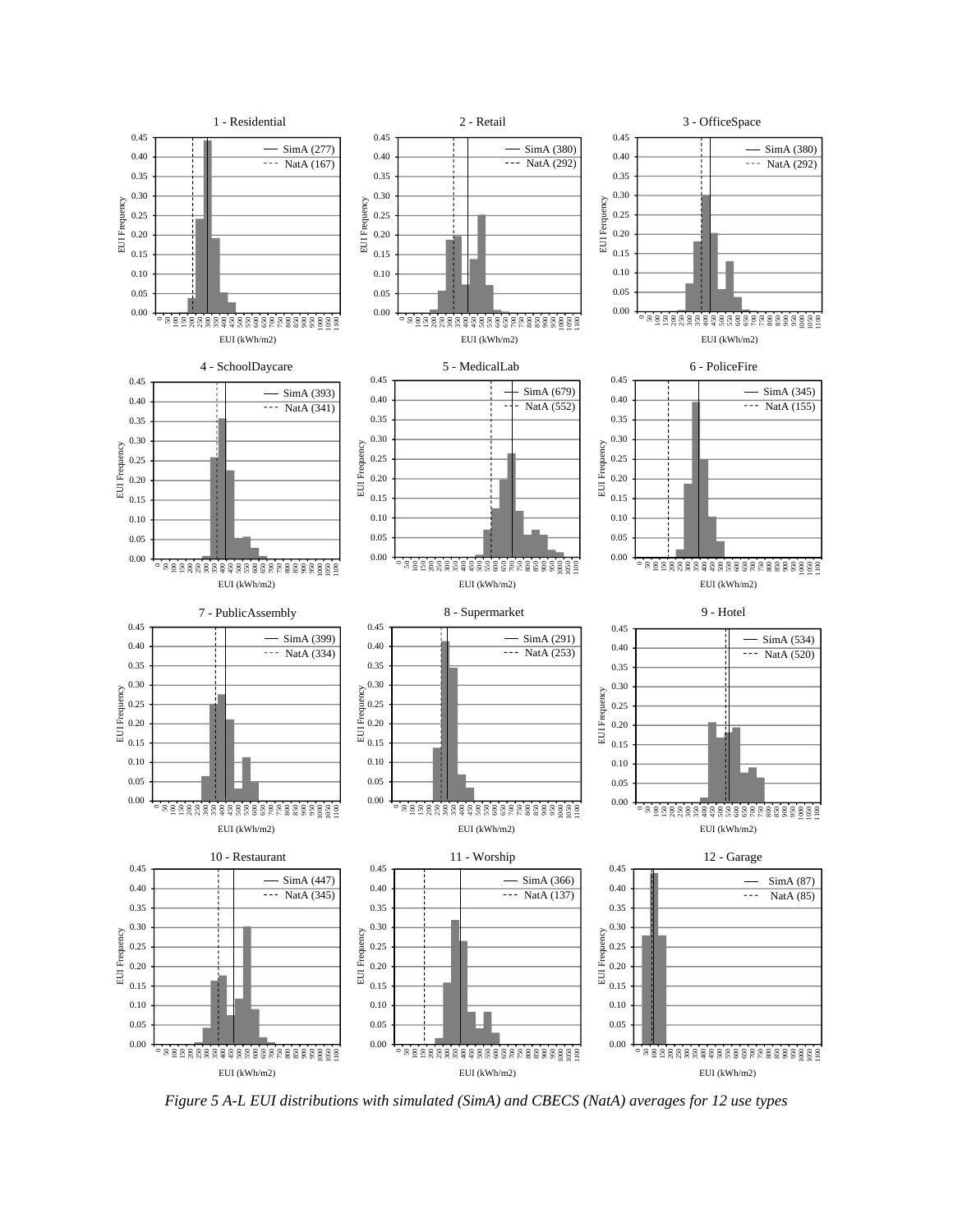

*Figure 5 A-L EUI distributions with simulated (SimA) and CBECS (NatA) averages for 12 use types*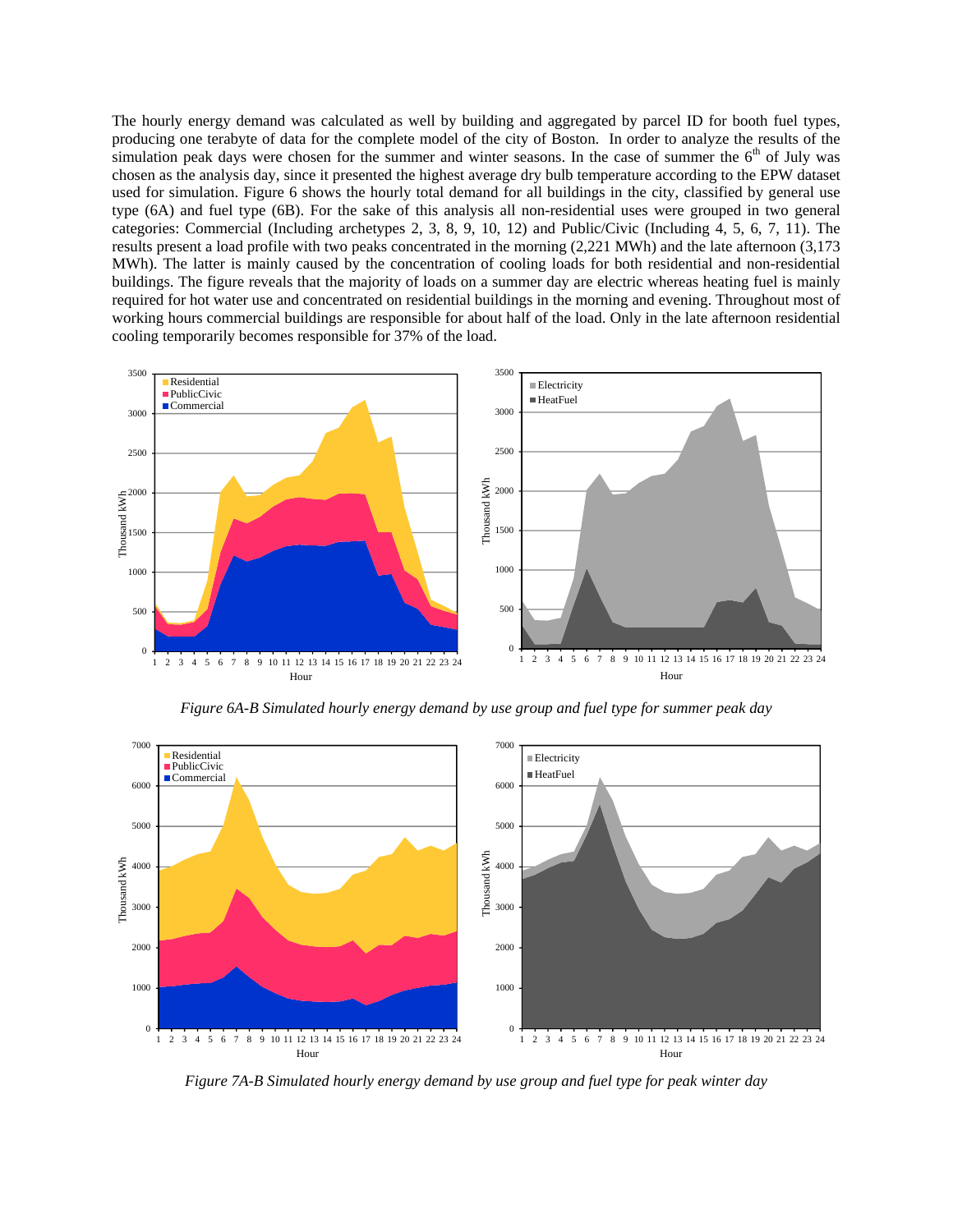The hourly energy demand was calculated as well by building and aggregated by parcel ID for booth fuel types, producing one terabyte of data for the complete model of the city of Boston. In order to analyze the results of the simulation peak days were chosen for the summer and winter seasons. In the case of summer the  $6<sup>th</sup>$  of July was chosen as the analysis day, since it presented the highest average dry bulb temperature according to the EPW dataset used for simulation. Figure 6 shows the hourly total demand for all buildings in the city, classified by general use type (6A) and fuel type (6B). For the sake of this analysis all non-residential uses were grouped in two general categories: Commercial (Including archetypes 2, 3, 8, 9, 10, 12) and Public/Civic (Including 4, 5, 6, 7, 11). The results present a load profile with two peaks concentrated in the morning (2,221 MWh) and the late afternoon (3,173 MWh). The latter is mainly caused by the concentration of cooling loads for both residential and non-residential buildings. The figure reveals that the majority of loads on a summer day are electric whereas heating fuel is mainly required for hot water use and concentrated on residential buildings in the morning and evening. Throughout most of working hours commercial buildings are responsible for about half of the load. Only in the late afternoon residential cooling temporarily becomes responsible for 37% of the load.



*Figure 6A-B Simulated hourly energy demand by use group and fuel type for summer peak day* 



*Figure 7A-B Simulated hourly energy demand by use group and fuel type for peak winter day*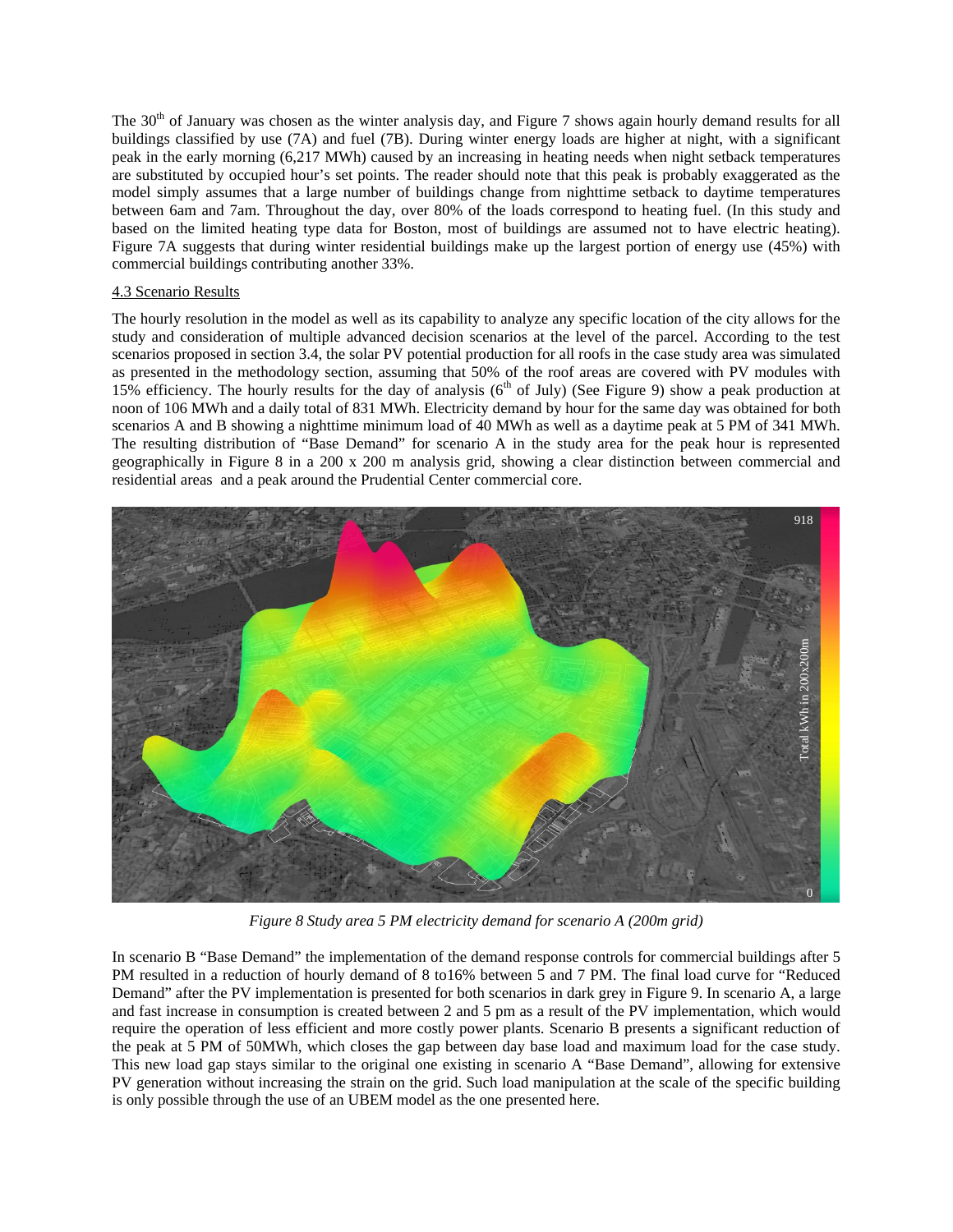The 30<sup>th</sup> of January was chosen as the winter analysis day, and Figure 7 shows again hourly demand results for all buildings classified by use (7A) and fuel (7B). During winter energy loads are higher at night, with a significant peak in the early morning (6,217 MWh) caused by an increasing in heating needs when night setback temperatures are substituted by occupied hour's set points. The reader should note that this peak is probably exaggerated as the model simply assumes that a large number of buildings change from nighttime setback to daytime temperatures between 6am and 7am. Throughout the day, over 80% of the loads correspond to heating fuel. (In this study and based on the limited heating type data for Boston, most of buildings are assumed not to have electric heating). Figure 7A suggests that during winter residential buildings make up the largest portion of energy use (45%) with commercial buildings contributing another 33%.

### 4.3 Scenario Results

The hourly resolution in the model as well as its capability to analyze any specific location of the city allows for the study and consideration of multiple advanced decision scenarios at the level of the parcel. According to the test scenarios proposed in section 3.4, the solar PV potential production for all roofs in the case study area was simulated as presented in the methodology section, assuming that 50% of the roof areas are covered with PV modules with 15% efficiency. The hourly results for the day of analysis ( $6<sup>th</sup>$  of July) (See Figure 9) show a peak production at noon of 106 MWh and a daily total of 831 MWh. Electricity demand by hour for the same day was obtained for both scenarios A and B showing a nighttime minimum load of 40 MWh as well as a daytime peak at 5 PM of 341 MWh. The resulting distribution of "Base Demand" for scenario A in the study area for the peak hour is represented geographically in Figure 8 in a 200 x 200 m analysis grid, showing a clear distinction between commercial and residential areas and a peak around the Prudential Center commercial core.



*Figure 8 Study area 5 PM electricity demand for scenario A (200m grid)*

In scenario B "Base Demand" the implementation of the demand response controls for commercial buildings after 5 PM resulted in a reduction of hourly demand of 8 to16% between 5 and 7 PM. The final load curve for "Reduced Demand" after the PV implementation is presented for both scenarios in dark grey in Figure 9. In scenario A, a large and fast increase in consumption is created between 2 and 5 pm as a result of the PV implementation, which would require the operation of less efficient and more costly power plants. Scenario B presents a significant reduction of the peak at 5 PM of 50MWh, which closes the gap between day base load and maximum load for the case study. This new load gap stays similar to the original one existing in scenario A "Base Demand", allowing for extensive PV generation without increasing the strain on the grid. Such load manipulation at the scale of the specific building is only possible through the use of an UBEM model as the one presented here.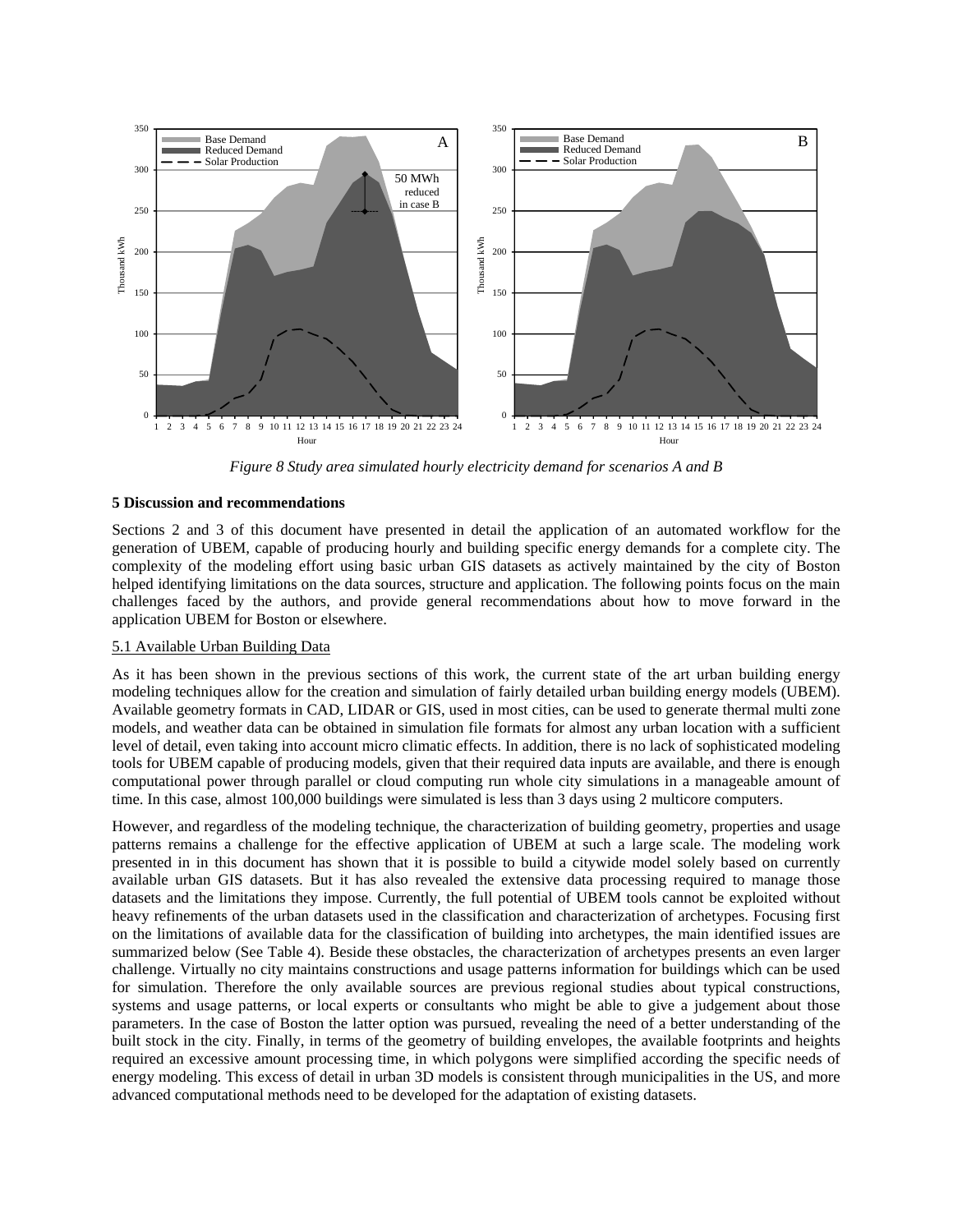

*Figure 8 Study area simulated hourly electricity demand for scenarios A and B*

#### **5 Discussion and recommendations**

Sections 2 and 3 of this document have presented in detail the application of an automated workflow for the generation of UBEM, capable of producing hourly and building specific energy demands for a complete city. The complexity of the modeling effort using basic urban GIS datasets as actively maintained by the city of Boston helped identifying limitations on the data sources, structure and application. The following points focus on the main challenges faced by the authors, and provide general recommendations about how to move forward in the application UBEM for Boston or elsewhere.

## 5.1 Available Urban Building Data

As it has been shown in the previous sections of this work, the current state of the art urban building energy modeling techniques allow for the creation and simulation of fairly detailed urban building energy models (UBEM). Available geometry formats in CAD, LIDAR or GIS, used in most cities, can be used to generate thermal multi zone models, and weather data can be obtained in simulation file formats for almost any urban location with a sufficient level of detail, even taking into account micro climatic effects. In addition, there is no lack of sophisticated modeling tools for UBEM capable of producing models, given that their required data inputs are available, and there is enough computational power through parallel or cloud computing run whole city simulations in a manageable amount of time. In this case, almost 100,000 buildings were simulated is less than 3 days using 2 multicore computers.

However, and regardless of the modeling technique, the characterization of building geometry, properties and usage patterns remains a challenge for the effective application of UBEM at such a large scale. The modeling work presented in in this document has shown that it is possible to build a citywide model solely based on currently available urban GIS datasets. But it has also revealed the extensive data processing required to manage those datasets and the limitations they impose. Currently, the full potential of UBEM tools cannot be exploited without heavy refinements of the urban datasets used in the classification and characterization of archetypes. Focusing first on the limitations of available data for the classification of building into archetypes, the main identified issues are summarized below (See Table 4). Beside these obstacles, the characterization of archetypes presents an even larger challenge. Virtually no city maintains constructions and usage patterns information for buildings which can be used for simulation. Therefore the only available sources are previous regional studies about typical constructions, systems and usage patterns, or local experts or consultants who might be able to give a judgement about those parameters. In the case of Boston the latter option was pursued, revealing the need of a better understanding of the built stock in the city. Finally, in terms of the geometry of building envelopes, the available footprints and heights required an excessive amount processing time, in which polygons were simplified according the specific needs of energy modeling. This excess of detail in urban 3D models is consistent through municipalities in the US, and more advanced computational methods need to be developed for the adaptation of existing datasets.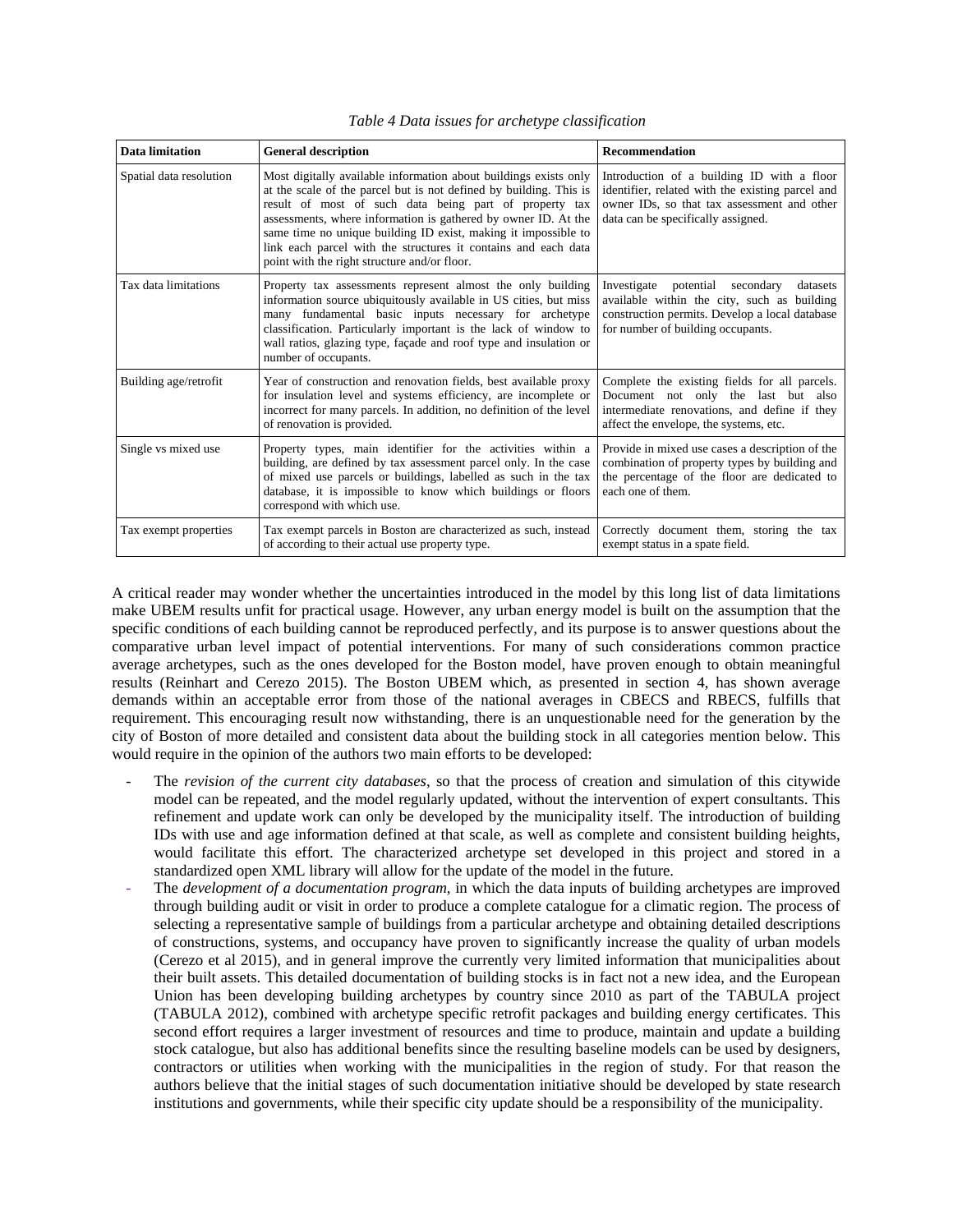| Data limitation         | <b>General description</b>                                                                                                                                                                                                                                                                                                                                                                                                                             | <b>Recommendation</b>                                                                                                                                                               |
|-------------------------|--------------------------------------------------------------------------------------------------------------------------------------------------------------------------------------------------------------------------------------------------------------------------------------------------------------------------------------------------------------------------------------------------------------------------------------------------------|-------------------------------------------------------------------------------------------------------------------------------------------------------------------------------------|
| Spatial data resolution | Most digitally available information about buildings exists only<br>at the scale of the parcel but is not defined by building. This is<br>result of most of such data being part of property tax<br>assessments, where information is gathered by owner ID. At the<br>same time no unique building ID exist, making it impossible to<br>link each parcel with the structures it contains and each data<br>point with the right structure and/or floor. | Introduction of a building ID with a floor<br>identifier, related with the existing parcel and<br>owner IDs, so that tax assessment and other<br>data can be specifically assigned. |
| Tax data limitations    | Property tax assessments represent almost the only building<br>information source ubiquitously available in US cities, but miss<br>many fundamental basic inputs necessary for archetype<br>classification. Particularly important is the lack of window to<br>wall ratios, glazing type, façade and roof type and insulation or<br>number of occupants.                                                                                               | Investigate potential secondary<br>datasets<br>available within the city, such as building<br>construction permits. Develop a local database<br>for number of building occupants.   |
| Building age/retrofit   | Year of construction and renovation fields, best available proxy<br>for insulation level and systems efficiency, are incomplete or<br>incorrect for many parcels. In addition, no definition of the level<br>of renovation is provided.                                                                                                                                                                                                                | Complete the existing fields for all parcels.<br>Document not only the last but also<br>intermediate renovations, and define if they<br>affect the envelope, the systems, etc.      |
| Single vs mixed use     | Property types, main identifier for the activities within a<br>building, are defined by tax assessment parcel only. In the case<br>of mixed use parcels or buildings, labelled as such in the tax<br>database, it is impossible to know which buildings or floors<br>correspond with which use.                                                                                                                                                        | Provide in mixed use cases a description of the<br>combination of property types by building and<br>the percentage of the floor are dedicated to<br>each one of them.               |
| Tax exempt properties   | Tax exempt parcels in Boston are characterized as such, instead<br>of according to their actual use property type.                                                                                                                                                                                                                                                                                                                                     | Correctly document them, storing the tax<br>exempt status in a spate field.                                                                                                         |

*Table 4 Data issues for archetype classification* 

A critical reader may wonder whether the uncertainties introduced in the model by this long list of data limitations make UBEM results unfit for practical usage. However, any urban energy model is built on the assumption that the specific conditions of each building cannot be reproduced perfectly, and its purpose is to answer questions about the comparative urban level impact of potential interventions. For many of such considerations common practice average archetypes, such as the ones developed for the Boston model, have proven enough to obtain meaningful results (Reinhart and Cerezo 2015). The Boston UBEM which, as presented in section 4, has shown average demands within an acceptable error from those of the national averages in CBECS and RBECS, fulfills that requirement. This encouraging result now withstanding, there is an unquestionable need for the generation by the city of Boston of more detailed and consistent data about the building stock in all categories mention below. This would require in the opinion of the authors two main efforts to be developed:

- The *revision of the current city databases*, so that the process of creation and simulation of this citywide model can be repeated, and the model regularly updated, without the intervention of expert consultants. This refinement and update work can only be developed by the municipality itself. The introduction of building IDs with use and age information defined at that scale, as well as complete and consistent building heights, would facilitate this effort. The characterized archetype set developed in this project and stored in a standardized open XML library will allow for the update of the model in the future.
- The *development of a documentation program*, in which the data inputs of building archetypes are improved through building audit or visit in order to produce a complete catalogue for a climatic region. The process of selecting a representative sample of buildings from a particular archetype and obtaining detailed descriptions of constructions, systems, and occupancy have proven to significantly increase the quality of urban models (Cerezo et al 2015), and in general improve the currently very limited information that municipalities about their built assets. This detailed documentation of building stocks is in fact not a new idea, and the European Union has been developing building archetypes by country since 2010 as part of the TABULA project (TABULA 2012), combined with archetype specific retrofit packages and building energy certificates. This second effort requires a larger investment of resources and time to produce, maintain and update a building stock catalogue, but also has additional benefits since the resulting baseline models can be used by designers, contractors or utilities when working with the municipalities in the region of study. For that reason the authors believe that the initial stages of such documentation initiative should be developed by state research institutions and governments, while their specific city update should be a responsibility of the municipality.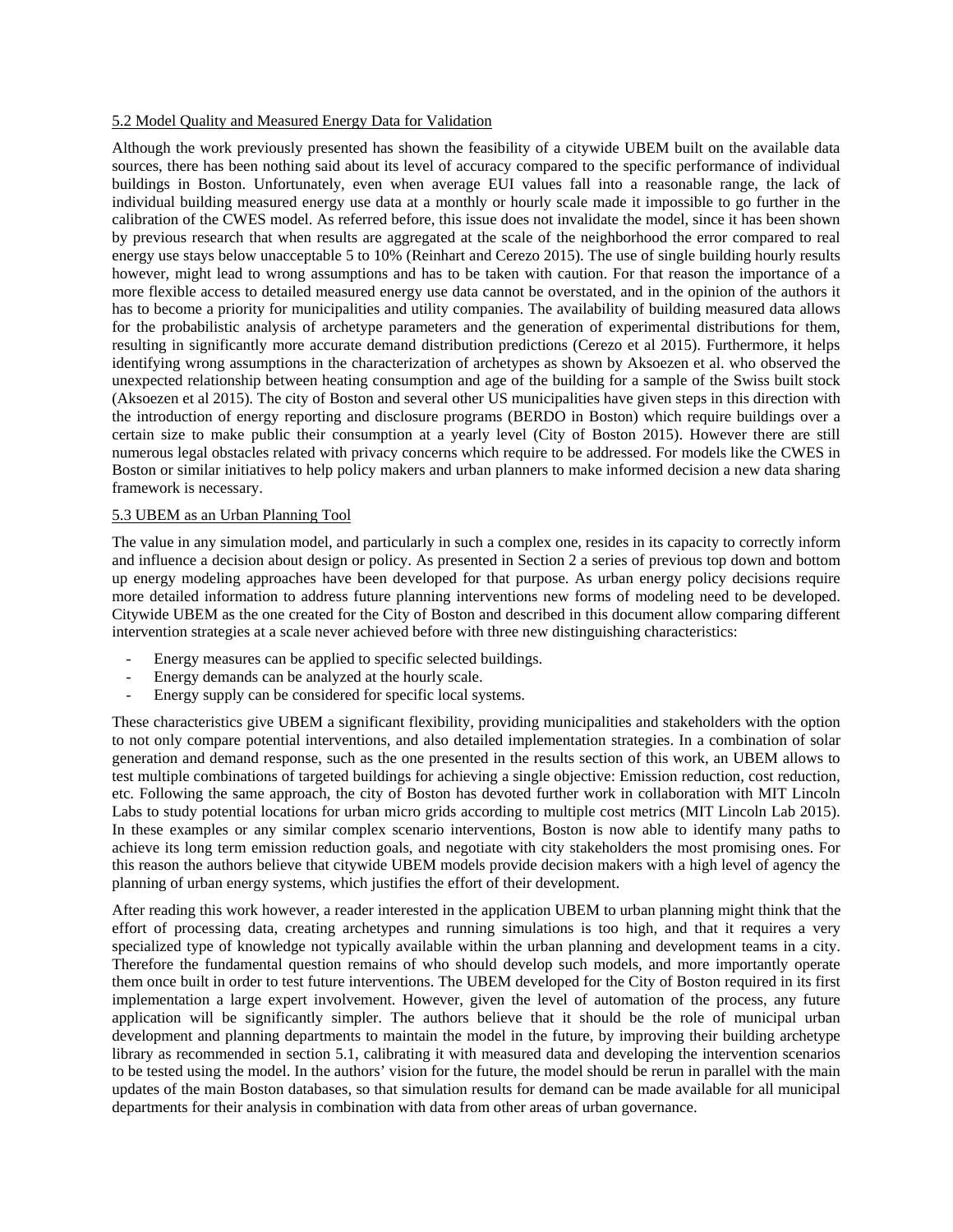#### 5.2 Model Quality and Measured Energy Data for Validation

Although the work previously presented has shown the feasibility of a citywide UBEM built on the available data sources, there has been nothing said about its level of accuracy compared to the specific performance of individual buildings in Boston. Unfortunately, even when average EUI values fall into a reasonable range, the lack of individual building measured energy use data at a monthly or hourly scale made it impossible to go further in the calibration of the CWES model. As referred before, this issue does not invalidate the model, since it has been shown by previous research that when results are aggregated at the scale of the neighborhood the error compared to real energy use stays below unacceptable 5 to 10% (Reinhart and Cerezo 2015). The use of single building hourly results however, might lead to wrong assumptions and has to be taken with caution. For that reason the importance of a more flexible access to detailed measured energy use data cannot be overstated, and in the opinion of the authors it has to become a priority for municipalities and utility companies. The availability of building measured data allows for the probabilistic analysis of archetype parameters and the generation of experimental distributions for them, resulting in significantly more accurate demand distribution predictions (Cerezo et al 2015). Furthermore, it helps identifying wrong assumptions in the characterization of archetypes as shown by Aksoezen et al. who observed the unexpected relationship between heating consumption and age of the building for a sample of the Swiss built stock (Aksoezen et al 2015). The city of Boston and several other US municipalities have given steps in this direction with the introduction of energy reporting and disclosure programs (BERDO in Boston) which require buildings over a certain size to make public their consumption at a yearly level (City of Boston 2015). However there are still numerous legal obstacles related with privacy concerns which require to be addressed. For models like the CWES in Boston or similar initiatives to help policy makers and urban planners to make informed decision a new data sharing framework is necessary.

#### 5.3 UBEM as an Urban Planning Tool

The value in any simulation model, and particularly in such a complex one, resides in its capacity to correctly inform and influence a decision about design or policy. As presented in Section 2 a series of previous top down and bottom up energy modeling approaches have been developed for that purpose. As urban energy policy decisions require more detailed information to address future planning interventions new forms of modeling need to be developed. Citywide UBEM as the one created for the City of Boston and described in this document allow comparing different intervention strategies at a scale never achieved before with three new distinguishing characteristics:

- Energy measures can be applied to specific selected buildings.
- Energy demands can be analyzed at the hourly scale.
- Energy supply can be considered for specific local systems.

These characteristics give UBEM a significant flexibility, providing municipalities and stakeholders with the option to not only compare potential interventions, and also detailed implementation strategies. In a combination of solar generation and demand response, such as the one presented in the results section of this work, an UBEM allows to test multiple combinations of targeted buildings for achieving a single objective: Emission reduction, cost reduction, etc. Following the same approach, the city of Boston has devoted further work in collaboration with MIT Lincoln Labs to study potential locations for urban micro grids according to multiple cost metrics (MIT Lincoln Lab 2015). In these examples or any similar complex scenario interventions, Boston is now able to identify many paths to achieve its long term emission reduction goals, and negotiate with city stakeholders the most promising ones. For this reason the authors believe that citywide UBEM models provide decision makers with a high level of agency the planning of urban energy systems, which justifies the effort of their development.

After reading this work however, a reader interested in the application UBEM to urban planning might think that the effort of processing data, creating archetypes and running simulations is too high, and that it requires a very specialized type of knowledge not typically available within the urban planning and development teams in a city. Therefore the fundamental question remains of who should develop such models, and more importantly operate them once built in order to test future interventions. The UBEM developed for the City of Boston required in its first implementation a large expert involvement. However, given the level of automation of the process, any future application will be significantly simpler. The authors believe that it should be the role of municipal urban development and planning departments to maintain the model in the future, by improving their building archetype library as recommended in section 5.1, calibrating it with measured data and developing the intervention scenarios to be tested using the model. In the authors' vision for the future, the model should be rerun in parallel with the main updates of the main Boston databases, so that simulation results for demand can be made available for all municipal departments for their analysis in combination with data from other areas of urban governance.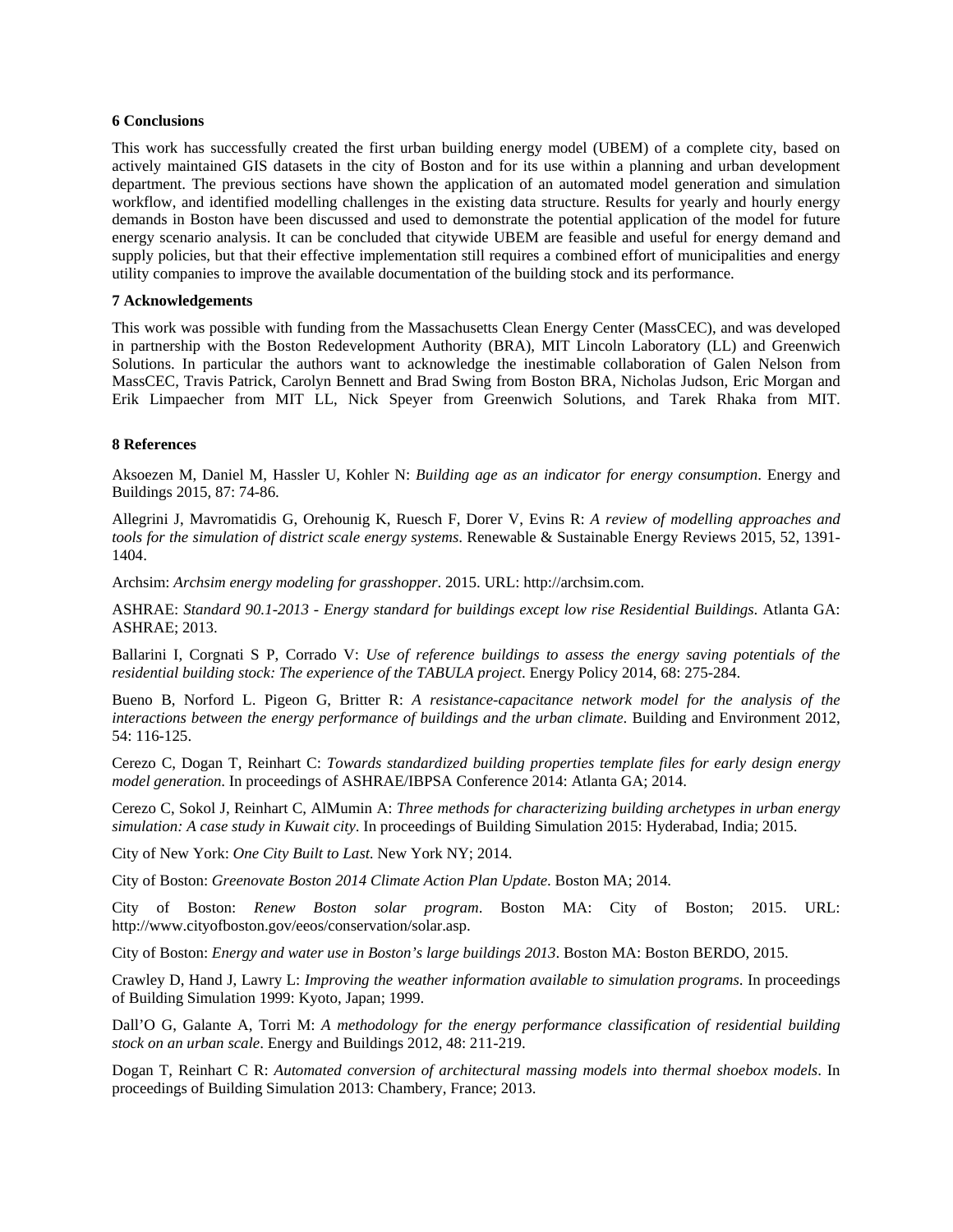#### **6 Conclusions**

This work has successfully created the first urban building energy model (UBEM) of a complete city, based on actively maintained GIS datasets in the city of Boston and for its use within a planning and urban development department. The previous sections have shown the application of an automated model generation and simulation workflow, and identified modelling challenges in the existing data structure. Results for yearly and hourly energy demands in Boston have been discussed and used to demonstrate the potential application of the model for future energy scenario analysis. It can be concluded that citywide UBEM are feasible and useful for energy demand and supply policies, but that their effective implementation still requires a combined effort of municipalities and energy utility companies to improve the available documentation of the building stock and its performance.

# **7 Acknowledgements**

This work was possible with funding from the Massachusetts Clean Energy Center (MassCEC), and was developed in partnership with the Boston Redevelopment Authority (BRA), MIT Lincoln Laboratory (LL) and Greenwich Solutions. In particular the authors want to acknowledge the inestimable collaboration of Galen Nelson from MassCEC, Travis Patrick, Carolyn Bennett and Brad Swing from Boston BRA, Nicholas Judson, Eric Morgan and Erik Limpaecher from MIT LL, Nick Speyer from Greenwich Solutions, and Tarek Rhaka from MIT.

#### **8 References**

Aksoezen M, Daniel M, Hassler U, Kohler N: *Building age as an indicator for energy consumption*. Energy and Buildings 2015, 87: 74-86.

Allegrini J, Mavromatidis G, Orehounig K, Ruesch F, Dorer V, Evins R: *A review of modelling approaches and tools for the simulation of district scale energy systems*. Renewable & Sustainable Energy Reviews 2015, 52, 1391- 1404.

Archsim: *Archsim energy modeling for grasshopper*. 2015. URL: http://archsim.com.

ASHRAE: *Standard 90.1-2013 - Energy standard for buildings except low rise Residential Buildings*. Atlanta GA: ASHRAE; 2013.

Ballarini I, Corgnati S P, Corrado V: *Use of reference buildings to assess the energy saving potentials of the residential building stock: The experience of the TABULA project*. Energy Policy 2014, 68: 275-284.

Bueno B, Norford L. Pigeon G, Britter R: *A resistance-capacitance network model for the analysis of the interactions between the energy performance of buildings and the urban climate*. Building and Environment 2012, 54: 116-125.

Cerezo C, Dogan T, Reinhart C: *Towards standardized building properties template files for early design energy model generation*. In proceedings of ASHRAE/IBPSA Conference 2014: Atlanta GA; 2014.

Cerezo C, Sokol J, Reinhart C, AlMumin A: *Three methods for characterizing building archetypes in urban energy simulation: A case study in Kuwait city*. In proceedings of Building Simulation 2015: Hyderabad, India; 2015.

City of New York: *One City Built to Last*. New York NY; 2014.

City of Boston: *Greenovate Boston 2014 Climate Action Plan Update*. Boston MA; 2014.

City of Boston: *Renew Boston solar program*. Boston MA: City of Boston; 2015. URL: http://www.cityofboston.gov/eeos/conservation/solar.asp.

City of Boston: *Energy and water use in Boston's large buildings 2013*. Boston MA: Boston BERDO, 2015.

Crawley D, Hand J, Lawry L: *Improving the weather information available to simulation programs*. In proceedings of Building Simulation 1999: Kyoto, Japan; 1999.

Dall'O G, Galante A, Torri M: *A methodology for the energy performance classification of residential building stock on an urban scale*. Energy and Buildings 2012, 48: 211-219.

Dogan T, Reinhart C R: *Automated conversion of architectural massing models into thermal shoebox models*. In proceedings of Building Simulation 2013: Chambery, France; 2013.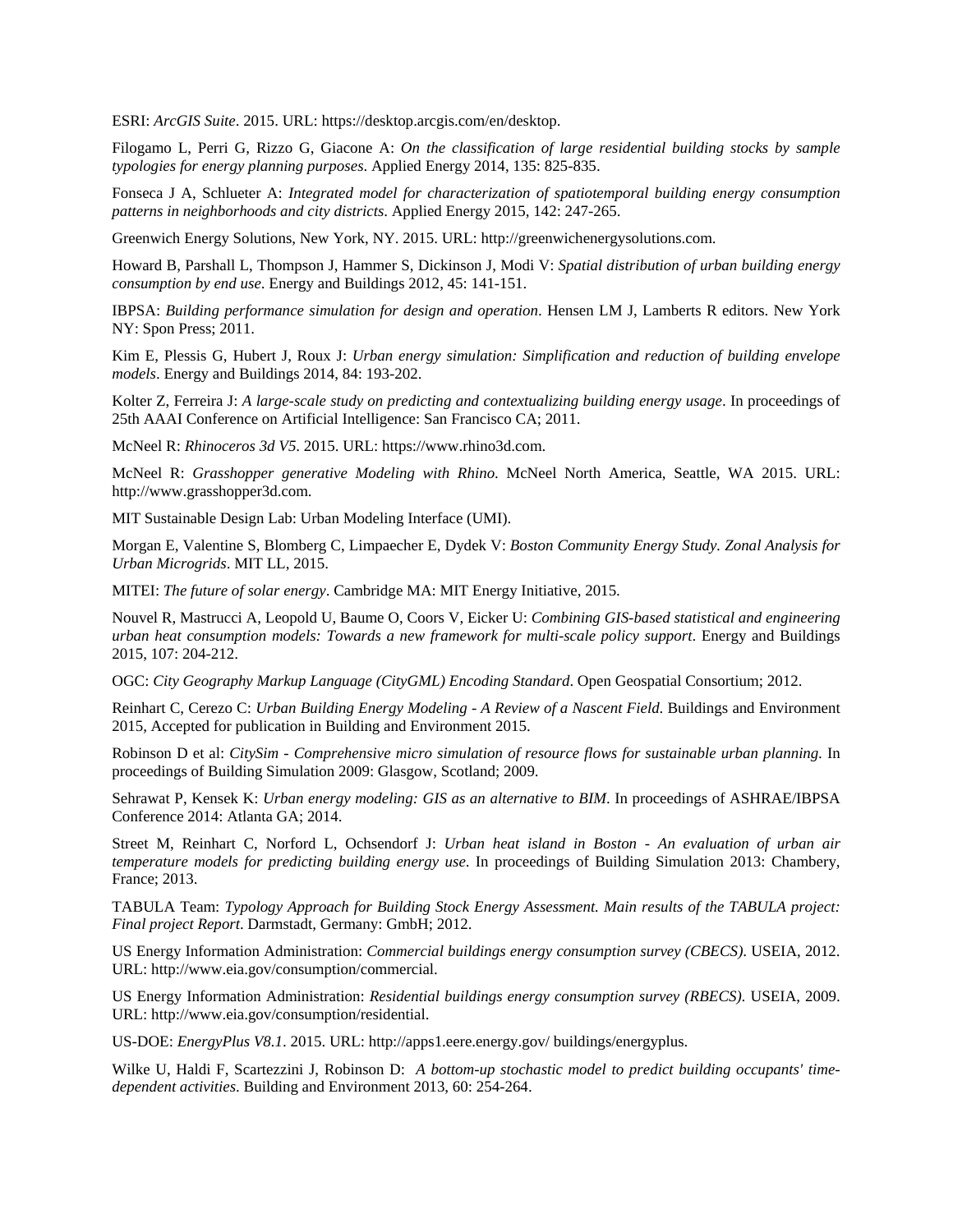ESRI: *ArcGIS Suite*. 2015. URL: https://desktop.arcgis.com/en/desktop.

Filogamo L, Perri G, Rizzo G, Giacone A: *On the classification of large residential building stocks by sample typologies for energy planning purposes*. Applied Energy 2014, 135: 825-835.

Fonseca J A, Schlueter A: *Integrated model for characterization of spatiotemporal building energy consumption patterns in neighborhoods and city districts*. Applied Energy 2015, 142: 247-265.

Greenwich Energy Solutions, New York, NY. 2015. URL: http://greenwichenergysolutions.com.

Howard B, Parshall L, Thompson J, Hammer S, Dickinson J, Modi V: *Spatial distribution of urban building energy consumption by end use*. Energy and Buildings 2012, 45: 141-151.

IBPSA: *Building performance simulation for design and operation*. Hensen LM J, Lamberts R editors. New York NY: Spon Press; 2011.

Kim E, Plessis G, Hubert J, Roux J: *Urban energy simulation: Simplification and reduction of building envelope models*. Energy and Buildings 2014, 84: 193-202.

Kolter Z, Ferreira J: *A large-scale study on predicting and contextualizing building energy usage*. In proceedings of 25th AAAI Conference on Artificial Intelligence: San Francisco CA; 2011.

McNeel R: *Rhinoceros 3d V5*. 2015. URL: https://www.rhino3d.com.

McNeel R: *Grasshopper generative Modeling with Rhino*. McNeel North America, Seattle, WA 2015. URL: http://www.grasshopper3d.com.

MIT Sustainable Design Lab: Urban Modeling Interface (UMI).

Morgan E, Valentine S, Blomberg C, Limpaecher E, Dydek V: *Boston Community Energy Study. Zonal Analysis for Urban Microgrids*. MIT LL, 2015.

MITEI: *The future of solar energy*. Cambridge MA: MIT Energy Initiative, 2015.

Nouvel R, Mastrucci A, Leopold U, Baume O, Coors V, Eicker U: *Combining GIS-based statistical and engineering urban heat consumption models: Towards a new framework for multi-scale policy support*. Energy and Buildings 2015, 107: 204-212.

OGC: *City Geography Markup Language (CityGML) Encoding Standard*. Open Geospatial Consortium; 2012.

Reinhart C, Cerezo C: *Urban Building Energy Modeling - A Review of a Nascent Field*. Buildings and Environment 2015, Accepted for publication in Building and Environment 2015.

Robinson D et al: *CitySim - Comprehensive micro simulation of resource flows for sustainable urban planning*. In proceedings of Building Simulation 2009: Glasgow, Scotland; 2009.

Sehrawat P, Kensek K: *Urban energy modeling: GIS as an alternative to BIM*. In proceedings of ASHRAE/IBPSA Conference 2014: Atlanta GA; 2014.

Street M, Reinhart C, Norford L, Ochsendorf J: *Urban heat island in Boston - An evaluation of urban air temperature models for predicting building energy use*. In proceedings of Building Simulation 2013: Chambery, France; 2013.

TABULA Team: *Typology Approach for Building Stock Energy Assessment. Main results of the TABULA project: Final project Report*. Darmstadt, Germany: GmbH; 2012.

US Energy Information Administration: *Commercial buildings energy consumption survey (CBECS)*. USEIA, 2012. URL: http://www.eia.gov/consumption/commercial.

US Energy Information Administration: *Residential buildings energy consumption survey (RBECS)*. USEIA, 2009. URL: http://www.eia.gov/consumption/residential.

US-DOE: *EnergyPlus V8.1*. 2015. URL: http://apps1.eere.energy.gov/ buildings/energyplus.

Wilke U, Haldi F, Scartezzini J, Robinson D: *A bottom-up stochastic model to predict building occupants' timedependent activities*. Building and Environment 2013, 60: 254-264.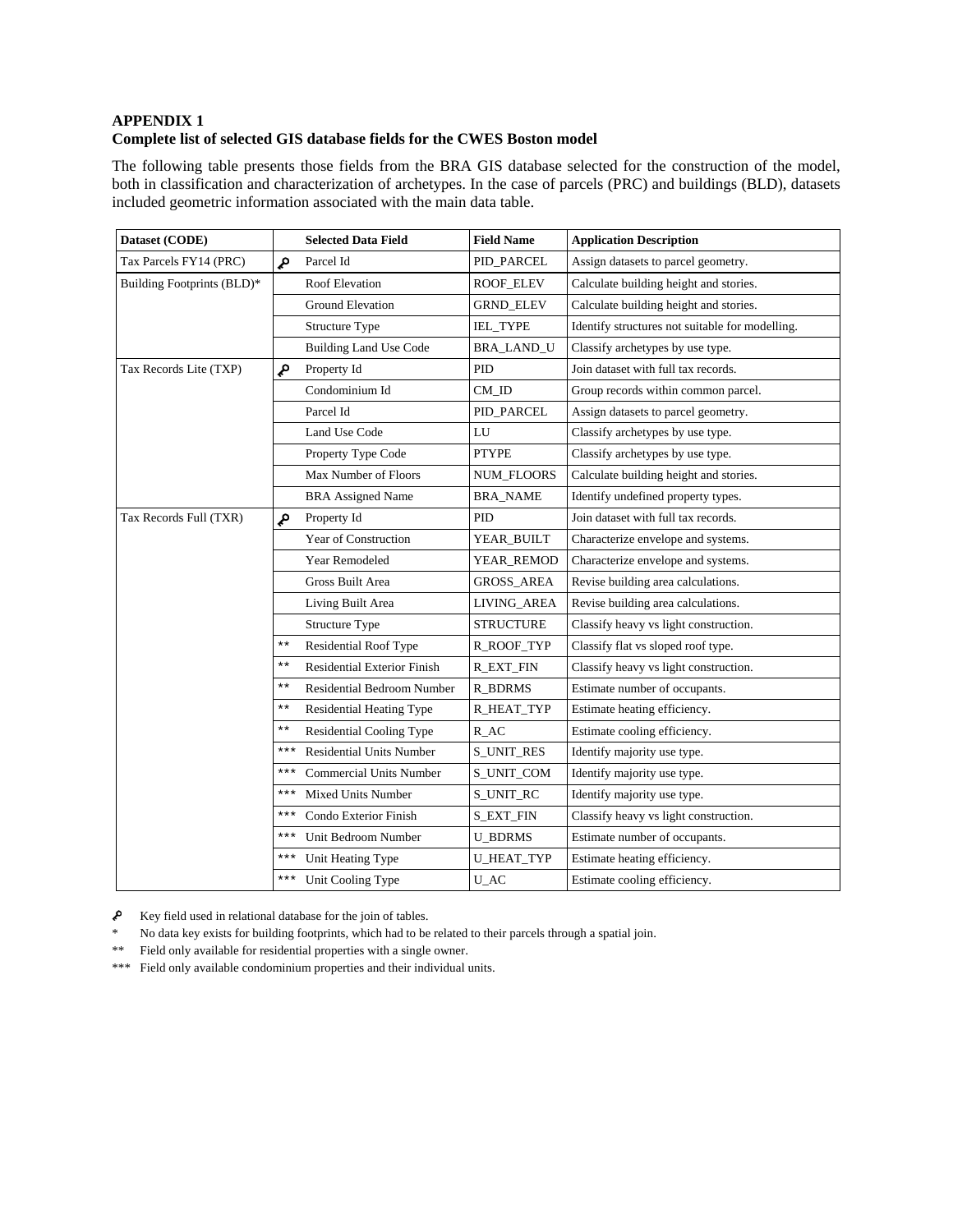# **APPENDIX 1 Complete list of selected GIS database fields for the CWES Boston model**

The following table presents those fields from the BRA GIS database selected for the construction of the model, both in classification and characterization of archetypes. In the case of parcels (PRC) and buildings (BLD), datasets included geometric information associated with the main data table.

| Dataset (CODE)             |                 | <b>Selected Data Field</b>         | <b>Field Name</b>  | <b>Application Description</b>                  |
|----------------------------|-----------------|------------------------------------|--------------------|-------------------------------------------------|
| Tax Parcels FY14 (PRC)     | مړ              | Parcel Id                          | PID_PARCEL         | Assign datasets to parcel geometry.             |
| Building Footprints (BLD)* |                 | Roof Elevation                     | ROOF_ELEV          | Calculate building height and stories.          |
|                            |                 | <b>Ground Elevation</b>            | <b>GRND_ELEV</b>   | Calculate building height and stories.          |
|                            |                 | <b>Structure Type</b>              | <b>IEL TYPE</b>    | Identify structures not suitable for modelling. |
|                            |                 | <b>Building Land Use Code</b>      | <b>BRA_LAND_U</b>  | Classify archetypes by use type.                |
| Tax Records Lite (TXP)     | مړ              | Property Id                        | PID                | Join dataset with full tax records.             |
|                            |                 | Condominium Id                     | CM ID              | Group records within common parcel.             |
|                            |                 | Parcel Id                          | PID_PARCEL         | Assign datasets to parcel geometry.             |
|                            |                 | Land Use Code                      | LU                 | Classify archetypes by use type.                |
|                            |                 | Property Type Code                 | <b>PTYPE</b>       | Classify archetypes by use type.                |
|                            |                 | Max Number of Floors               | NUM_FLOORS         | Calculate building height and stories.          |
|                            |                 | <b>BRA</b> Assigned Name           | <b>BRA_NAME</b>    | Identify undefined property types.              |
| Tax Records Full (TXR)     | م               | Property Id                        | <b>PID</b>         | Join dataset with full tax records.             |
|                            |                 | Year of Construction               | YEAR_BUILT         | Characterize envelope and systems.              |
|                            |                 | Year Remodeled                     | YEAR_REMOD         | Characterize envelope and systems.              |
|                            |                 | Gross Built Area                   | <b>GROSS_AREA</b>  | Revise building area calculations.              |
|                            |                 | Living Built Area                  | LIVING_AREA        | Revise building area calculations.              |
|                            |                 | Structure Type                     | <b>STRUCTURE</b>   | Classify heavy vs light construction.           |
|                            | $***$           | Residential Roof Type              | R_ROOF_TYP         | Classify flat vs sloped roof type.              |
|                            | $***$           | <b>Residential Exterior Finish</b> | <b>R_EXT_FIN</b>   | Classify heavy vs light construction.           |
|                            | $***$           | <b>Residential Bedroom Number</b>  | <b>R_BDRMS</b>     | Estimate number of occupants.                   |
|                            | $***$           | <b>Residential Heating Type</b>    | R_HEAT_TYP         | Estimate heating efficiency.                    |
|                            | $^{\star\star}$ | <b>Residential Cooling Type</b>    | $R$ <sub>-AC</sub> | Estimate cooling efficiency.                    |
|                            | ***             | <b>Residential Units Number</b>    | <b>S_UNIT_RES</b>  | Identify majority use type.                     |
|                            | ***             | <b>Commercial Units Number</b>     | S_UNIT_COM         | Identify majority use type.                     |
|                            | ***             | Mixed Units Number                 | S_UNIT_RC          | Identify majority use type.                     |
|                            | $***$           | Condo Exterior Finish              | <b>S_EXT_FIN</b>   | Classify heavy vs light construction.           |
|                            | ***             | Unit Bedroom Number                | <b>U_BDRMS</b>     | Estimate number of occupants.                   |
|                            | ***             | Unit Heating Type                  | <b>U_HEAT_TYP</b>  | Estimate heating efficiency.                    |
|                            | $***$           | Unit Cooling Type                  | $U_AC$             | Estimate cooling efficiency.                    |

 $\mathcal{P}$  Key field used in relational database for the join of tables.

\* No data key exists for building footprints, which had to be related to their parcels through a spatial join.

\*\* Field only available for residential properties with a single owner.

\*\*\* Field only available condominium properties and their individual units.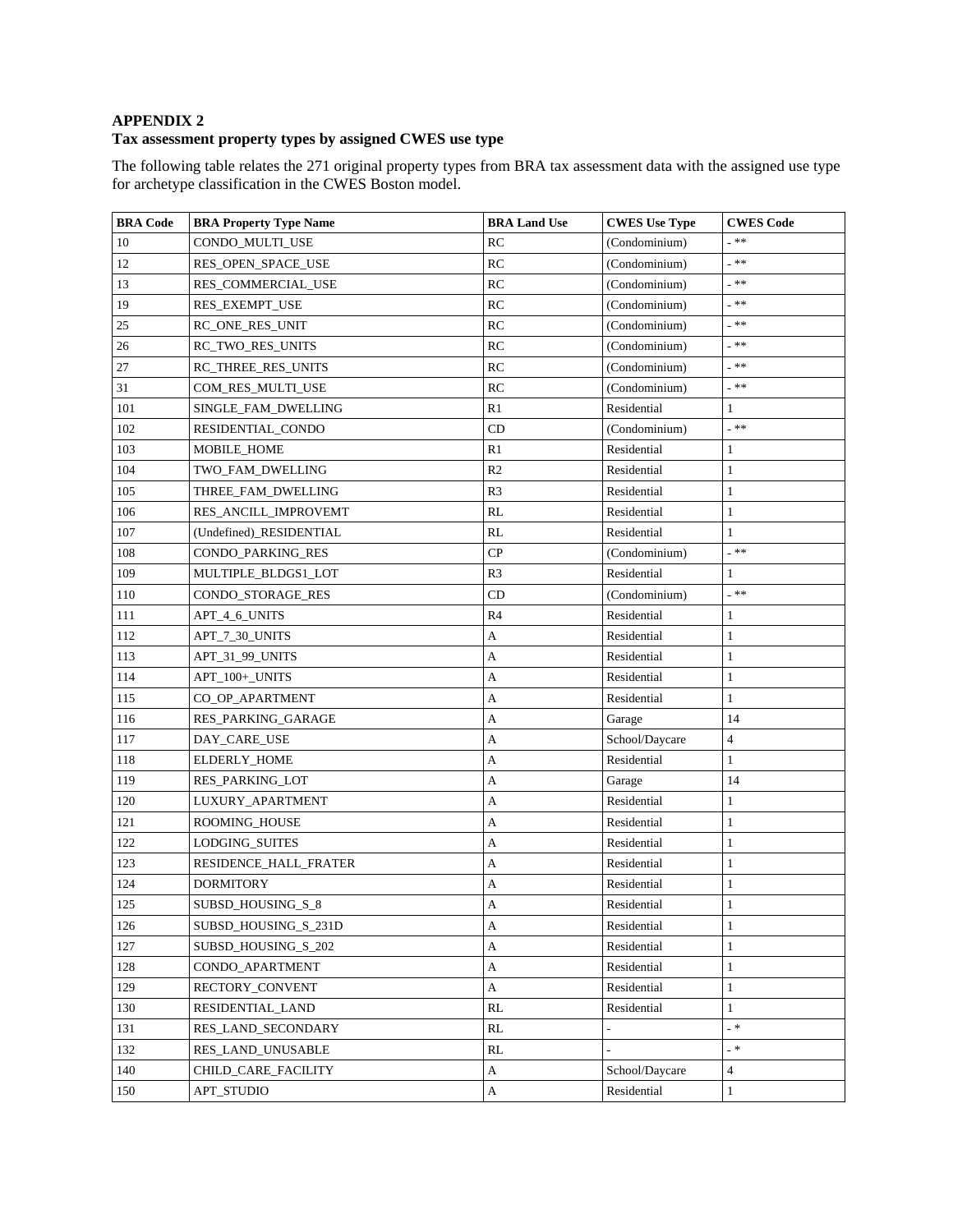# **APPENDIX 2**

# **Tax assessment property types by assigned CWES use type**

The following table relates the 271 original property types from BRA tax assessment data with the assigned use type for archetype classification in the CWES Boston model.

| <b>BRA Code</b> | <b>BRA Property Type Name</b> | <b>BRA Land Use</b>       | <b>CWES</b> Use Type | <b>CWES</b> Code         |
|-----------------|-------------------------------|---------------------------|----------------------|--------------------------|
| 10              | CONDO_MULTI_USE               | RC                        | (Condominium)        | _ 米米                     |
| 12              | RES OPEN SPACE USE            | RC                        | (Condominium)        | _ **                     |
| 13              | RES_COMMERCIAL_USE            | RC                        | (Condominium)        | _ 米米                     |
| 19              | RES_EXEMPT_USE                | RC                        | (Condominium)        | _ 米米                     |
| 25              | RC_ONE_RES_UNIT               | RC                        | (Condominium)        | _ 米米                     |
| 26              | <b>RC_TWO_RES_UNITS</b>       | RC                        | (Condominium)        | _ **                     |
| 27              | RC_THREE_RES_UNITS            | RC                        | (Condominium)        | _**                      |
| 31              | COM_RES_MULTI_USE             | RC                        | (Condominium)        | $\ast$ $\ast$            |
| 101             | SINGLE_FAM_DWELLING           | R1                        | Residential          | 1                        |
| 102             | RESIDENTIAL_CONDO             | CD                        | (Condominium)        | _ 米米                     |
| 103             | MOBILE_HOME                   | R1                        | Residential          | 1                        |
| 104             | TWO_FAM_DWELLING              | R <sub>2</sub>            | Residential          | $\mathbf{1}$             |
| 105             | THREE_FAM_DWELLING            | R3                        | Residential          | $\mathbf{1}$             |
| 106             | RES_ANCILL_IMPROVEMT          | RL                        | Residential          | $\mathbf{1}$             |
| 107             | (Undefined) RESIDENTIAL       | RL                        | Residential          | 1                        |
| 108             | CONDO_PARKING_RES             | CP                        | (Condominium)        | _ **                     |
| 109             | MULTIPLE BLDGS1 LOT           | R <sub>3</sub>            | Residential          | 1                        |
| 110             | CONDO_STORAGE_RES             | CD                        | (Condominium)        | _ **                     |
| 111             | APT_4_6_UNITS                 | R4                        | Residential          | 1                        |
| 112             | APT_7_30_UNITS                | А                         | Residential          | $\mathbf{1}$             |
| 113             | APT_31_99_UNITS               | A                         | Residential          | $\mathbf{1}$             |
| 114             | APT_100+_UNITS                | А                         | Residential          | $\mathbf{1}$             |
| 115             | CO_OP_APARTMENT               | A                         | Residential          | $\mathbf{1}$             |
| 116             | <b>RES_PARKING_GARAGE</b>     | А                         | Garage               | 14                       |
| 117             | DAY_CARE_USE                  | А                         | School/Daycare       | $\overline{4}$           |
| 118             | ELDERLY_HOME                  | $\mathbf{A}$              | Residential          | $1\,$                    |
| 119             | RES_PARKING_LOT               | А                         | Garage               | 14                       |
| 120             | LUXURY_APARTMENT              | A                         | Residential          | 1                        |
| 121             | ROOMING_HOUSE                 | А                         | Residential          | 1                        |
| 122             | <b>LODGING SUITES</b>         | A                         | Residential          | $\mathbf{1}$             |
| 123             | RESIDENCE_HALL_FRATER         | $\mathbf A$               | Residential          | $\mathbf{1}$             |
| 124             | <b>DORMITORY</b>              | A                         | Residential          | 1                        |
| 125             | SUBSD_HOUSING_S_8             | A                         | Residential          |                          |
| 126             | SUBSD_HOUSING_S_231D          | A                         | Residential          | 1                        |
| 127             | SUBSD_HOUSING_S_202           | $\boldsymbol{A}$          | Residential          | $\mathbf{1}$             |
| 128             | CONDO_APARTMENT               | A                         | Residential          | $\mathbf{1}$             |
| 129             | RECTORY_CONVENT               | $\mathbf A$               | Residential          | $\mathbf{1}$             |
| 130             | RESIDENTIAL LAND              | RL                        | Residential          | $\mathbf{1}$             |
| 131             | RES_LAND_SECONDARY            | RL                        |                      | $=$ *                    |
| 132             | RES_LAND_UNUSABLE             | RL                        |                      | $\overline{\phantom{a}}$ |
| 140             | CHILD_CARE_FACILITY           | A                         | School/Daycare       | $\overline{4}$           |
| 150             | APT_STUDIO                    | $\boldsymbol{\mathsf{A}}$ | Residential          | $\mathbf{1}$             |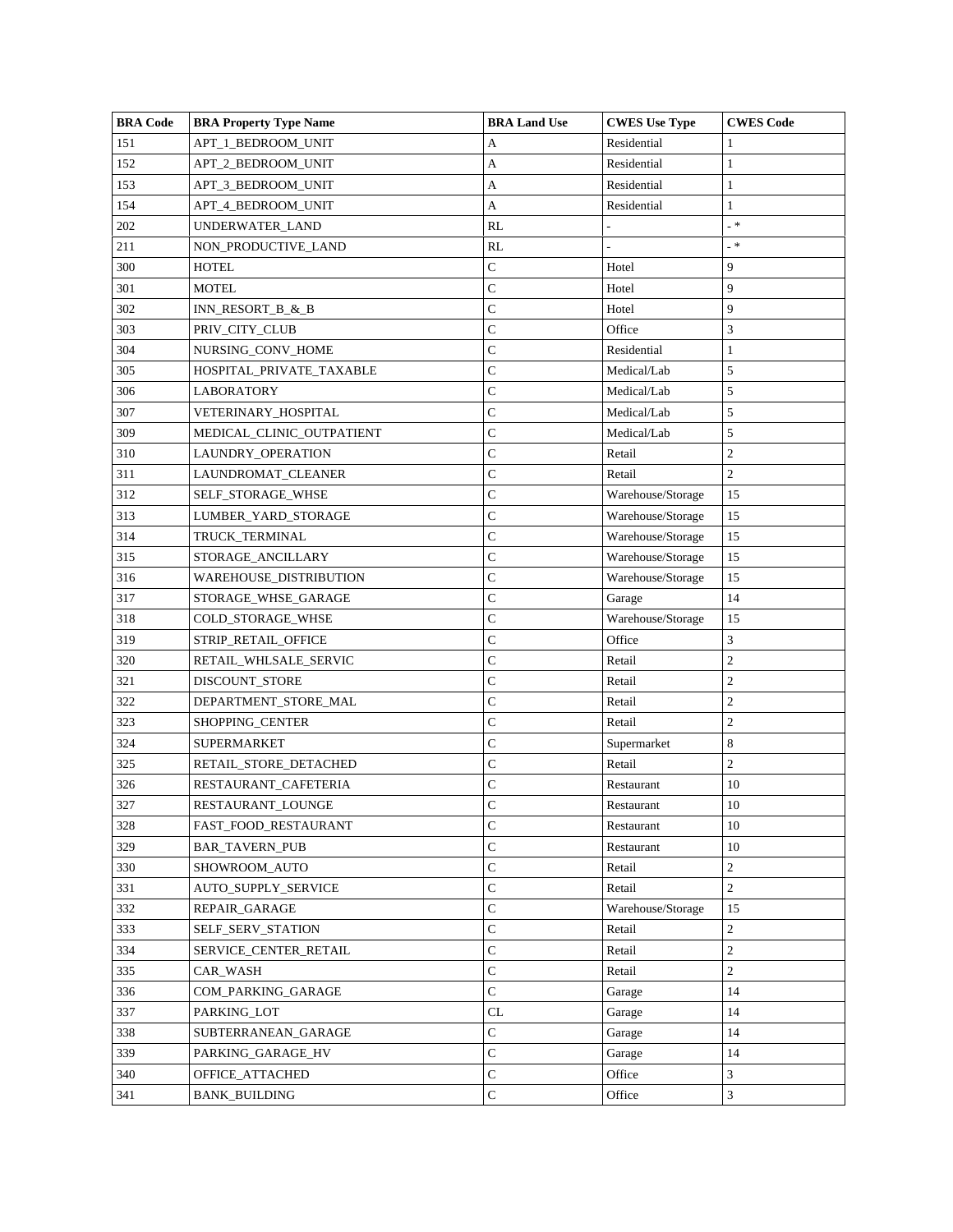| <b>BRA Code</b> | <b>BRA Property Type Name</b> | <b>BRA Land Use</b> | <b>CWES</b> Use Type | <b>CWES Code</b> |
|-----------------|-------------------------------|---------------------|----------------------|------------------|
| 151             | APT_1_BEDROOM_UNIT            | А                   | Residential          |                  |
| 152             | APT_2_BEDROOM_UNIT            | А                   | Residential          | 1                |
| 153             | APT_3_BEDROOM_UNIT            | $\mathbf A$         | Residential          | 1                |
| 154             | APT_4_BEDROOM_UNIT            | A                   | Residential          | $\mathbf{1}$     |
| 202             | UNDERWATER_LAND               | RL                  |                      | _ *              |
| 211             | NON_PRODUCTIVE_LAND           | RL                  |                      | $\mathbb{R}^*$   |
| 300             | <b>HOTEL</b>                  | C                   | Hotel                | 9                |
| 301             | <b>MOTEL</b>                  | $\mathsf{C}$        | Hotel                | 9                |
| 302             | INN_RESORT_B_&_B              | $\mathsf{C}$        | Hotel                | 9                |
| 303             | PRIV_CITY_CLUB                | C                   | Office               | 3                |
| 304             | NURSING_CONV_HOME             | $\mathsf{C}$        | Residential          | 1                |
| 305             | HOSPITAL_PRIVATE_TAXABLE      | C                   | Medical/Lab          | 5                |
| 306             | LABORATORY                    | $\mathsf{C}$        | Medical/Lab          | 5                |
| 307             | VETERINARY_HOSPITAL           | $\mathsf{C}$        | Medical/Lab          | 5                |
| 309             | MEDICAL_CLINIC_OUTPATIENT     | $\mathsf{C}$        | Medical/Lab          | 5                |
| 310             | LAUNDRY_OPERATION             | C                   | Retail               | $\overline{c}$   |
| 311             | LAUNDROMAT_CLEANER            | $\mathsf{C}$        | Retail               | $\overline{c}$   |
| 312             | SELF_STORAGE_WHSE             | $\mathsf{C}$        | Warehouse/Storage    | 15               |
| 313             | LUMBER_YARD_STORAGE           | C                   | Warehouse/Storage    | 15               |
| 314             | TRUCK_TERMINAL                | C                   | Warehouse/Storage    | 15               |
| 315             | STORAGE_ANCILLARY             | C                   | Warehouse/Storage    | 15               |
| 316             | WAREHOUSE_DISTRIBUTION        | $\mathsf{C}$        | Warehouse/Storage    | 15               |
| 317             | STORAGE_WHSE_GARAGE           | $\mathsf{C}$        | Garage               | 14               |
| 318             | COLD_STORAGE_WHSE             | C                   | Warehouse/Storage    | 15               |
| 319             | STRIP_RETAIL_OFFICE           | $\mathsf{C}$        | Office               | 3                |
| 320             | RETAIL_WHLSALE_SERVIC         | C                   | Retail               | $\overline{c}$   |
| 321             | DISCOUNT_STORE                | $\mathsf{C}$        | Retail               | $\overline{c}$   |
| 322             | DEPARTMENT_STORE_MAL          | C                   | Retail               | $\overline{c}$   |
| 323             | SHOPPING_CENTER               | C                   | Retail               | 2                |
| 324             | <b>SUPERMARKET</b>            | C                   | Supermarket          | 8                |
| 325             | RETAIL_STORE_DETACHED         | $\mathcal{C}$       | Retail               | $\overline{c}$   |
| 326             | RESTAURANT_CAFETERIA          | $\mathsf{C}$        | Restaurant           | 10               |
| 327             | RESTAURANT_LOUNGE             | $\mathbf C$         | Restaurant           | 10               |
| 328             | FAST_FOOD_RESTAURANT          | $\mathsf{C}$        | Restaurant           | 10               |
| 329             | <b>BAR_TAVERN_PUB</b>         | C                   | Restaurant           | 10               |
| 330             | SHOWROOM_AUTO                 | $\mathsf{C}$        | Retail               | $\overline{c}$   |
| 331             | <b>AUTO_SUPPLY_SERVICE</b>    | $\mathsf C$         | Retail               | $\overline{c}$   |
| 332             | REPAIR_GARAGE                 | $\mathsf{C}$        | Warehouse/Storage    | 15               |
| 333             | SELF_SERV_STATION             | $\mathsf C$         | Retail               | $\overline{c}$   |
| 334             | SERVICE_CENTER_RETAIL         | $\mathsf C$         | Retail               | $\overline{c}$   |
| 335             | CAR_WASH                      | $\mathbf C$         | Retail               | $\overline{c}$   |
| 336             | COM_PARKING_GARAGE            | $\mathsf C$         | Garage               | 14               |
| 337             | PARKING_LOT                   | CL                  | Garage               | 14               |
| 338             | SUBTERRANEAN_GARAGE           | $\mathsf C$         | Garage               | 14               |
| 339             | PARKING_GARAGE_HV             | $\mathsf{C}$        | Garage               | 14               |
| 340             | OFFICE_ATTACHED               | $\mathsf{C}$        | Office               | 3                |
| 341             | <b>BANK_BUILDING</b>          | ${\bf C}$           | Office               | 3                |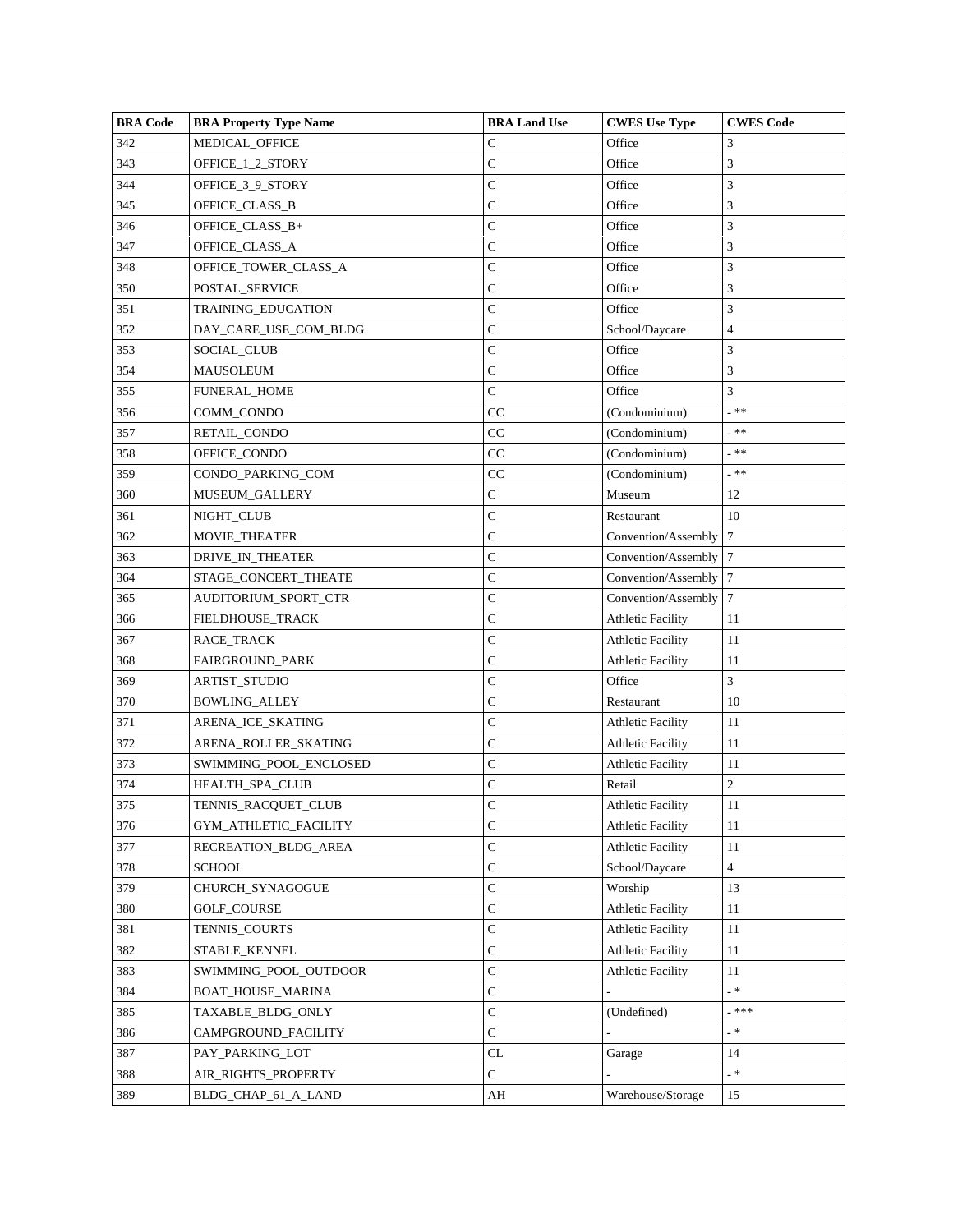| <b>BRA Code</b> | <b>BRA Property Type Name</b> | <b>BRA Land Use</b> | <b>CWES</b> Use Type     | <b>CWES Code</b>          |
|-----------------|-------------------------------|---------------------|--------------------------|---------------------------|
| 342             | MEDICAL_OFFICE                | C                   | Office                   | 3                         |
| 343             | OFFICE_1_2_STORY              | C                   | Office                   | 3                         |
| 344             | OFFICE_3_9_STORY              | C                   | Office                   | 3                         |
| 345             | OFFICE_CLASS_B                | C                   | Office                   | 3                         |
| 346             | OFFICE_CLASS_B+               | C                   | Office                   | 3                         |
| 347             | OFFICE_CLASS_A                | C                   | Office                   | 3                         |
| 348             | OFFICE_TOWER_CLASS_A          | C                   | Office                   | 3                         |
| 350             | POSTAL SERVICE                | $\mathsf{C}$        | Office                   | 3                         |
| 351             | TRAINING_EDUCATION            | $\mathsf{C}$        | Office                   | 3                         |
| 352             | DAY_CARE_USE_COM_BLDG         | C                   | School/Daycare           | 4                         |
| 353             | SOCIAL_CLUB                   | C                   | Office                   | 3                         |
| 354             | MAUSOLEUM                     | C                   | Office                   | 3                         |
| 355             | <b>FUNERAL_HOME</b>           | $\mathsf{C}$        | Office                   | 3                         |
| 356             | COMM_CONDO                    | $_{\rm CC}$         | (Condominium)            | _ 米米                      |
| 357             | RETAIL_CONDO                  | CC                  | (Condominium)            | _ 米米                      |
| 358             | OFFICE_CONDO                  | CC                  | (Condominium)            | _ 米米                      |
| 359             | CONDO PARKING COM             | CC                  | (Condominium)            | - **                      |
| 360             | <b>MUSEUM GALLERY</b>         | $\mathsf{C}$        | Museum                   | 12                        |
| 361             | NIGHT_CLUB                    | C                   | Restaurant               | 10                        |
| 362             | MOVIE_THEATER                 | C                   | Convention/Assembly      | 7                         |
| 363             | DRIVE_IN_THEATER              | C                   | Convention/Assembly      | 7                         |
| 364             | STAGE_CONCERT_THEATE          | C                   | Convention/Assembly      | $\tau$                    |
| 365             | AUDITORIUM_SPORT_CTR          | $\mathbf C$         | Convention/Assembly      | 7                         |
| 366             | FIELDHOUSE_TRACK              | C                   | <b>Athletic Facility</b> | 11                        |
| 367             | RACE_TRACK                    | C                   | <b>Athletic Facility</b> | 11                        |
| 368             | FAIRGROUND_PARK               | C                   | <b>Athletic Facility</b> | 11                        |
| 369             | <b>ARTIST_STUDIO</b>          | $\mathsf{C}$        | Office                   | 3                         |
| 370             | <b>BOWLING_ALLEY</b>          | C                   | Restaurant               | 10                        |
| 371             | ARENA_ICE_SKATING             | C                   | <b>Athletic Facility</b> | 11                        |
| 372             | ARENA_ROLLER_SKATING          | C                   | <b>Athletic Facility</b> | 11                        |
| 373             | SWIMMING_POOL_ENCLOSED        | C                   | <b>Athletic Facility</b> | 11                        |
| 374             | HEALTH_SPA_CLUB               | $\mathsf{C}$        | Retail                   | $\overline{c}$            |
| 375             | TENNIS_RACQUET_CLUB           | $\mathbf C$         | <b>Athletic Facility</b> | 11                        |
| 376             | GYM_ATHLETIC_FACILITY         | C                   | <b>Athletic Facility</b> | 11                        |
| 377             | RECREATION_BLDG_AREA          | C                   | <b>Athletic Facility</b> | 11                        |
| 378             | <b>SCHOOL</b>                 | $\mathsf{C}$        | School/Daycare           | 4                         |
| 379             | CHURCH_SYNAGOGUE              | $\mathsf C$         | Worship                  | 13                        |
| 380             | <b>GOLF_COURSE</b>            | $\mathsf{C}$        | <b>Athletic Facility</b> | 11                        |
| 381             | TENNIS_COURTS                 | $\mathbf C$         | <b>Athletic Facility</b> | 11                        |
| 382             | STABLE KENNEL                 | C                   | <b>Athletic Facility</b> | 11                        |
| 383             | SWIMMING_POOL_OUTDOOR         | $\mathsf{C}$        | <b>Athletic Facility</b> | 11                        |
| 384             | BOAT_HOUSE_MARINA             | $\mathbf C$         |                          | _ *                       |
| 385             | TAXABLE BLDG ONLY             | $\mathbf C$         | (Undefined)              | _ ***                     |
| 386             | CAMPGROUND_FACILITY           | C                   |                          | _ *                       |
| 387             | PAY_PARKING_LOT               | CL                  | Garage                   | 14                        |
| 388             | AIR_RIGHTS_PROPERTY           | $\overline{C}$      |                          | $\mathbb{R}^{\mathbb{Z}}$ |
| 389             | BLDG_CHAP_61_A_LAND           | AH                  | Warehouse/Storage        | 15                        |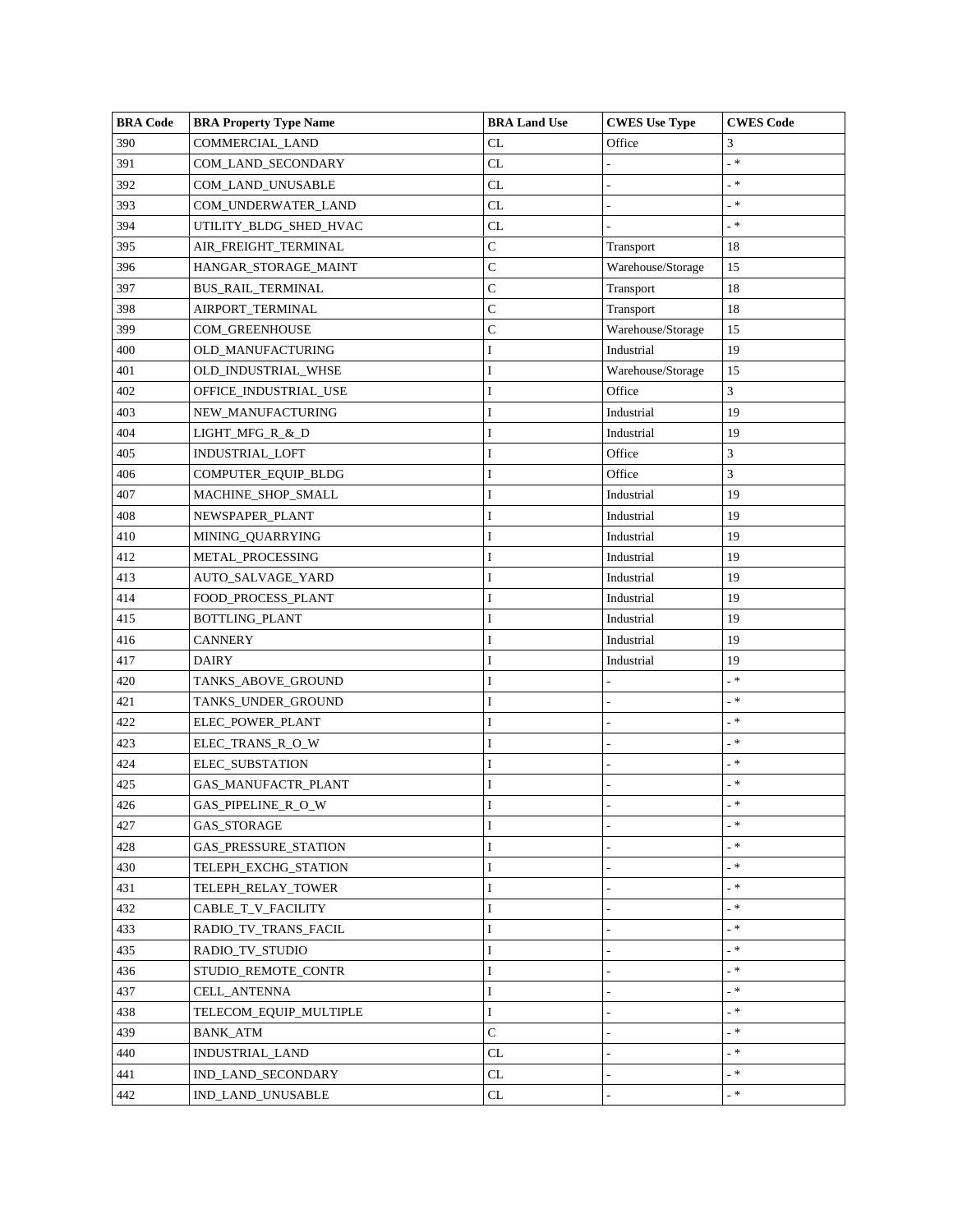| <b>BRA Code</b> | <b>BRA Property Type Name</b> | <b>BRA Land Use</b>               | <b>CWES</b> Use Type | <b>CWES</b> Code |
|-----------------|-------------------------------|-----------------------------------|----------------------|------------------|
| 390             | COMMERCIAL_LAND               | CL                                | Office               | 3                |
| 391             | COM_LAND_SECONDARY            | CL                                |                      | $-$ *            |
| 392             | COM_LAND_UNUSABLE             | CL                                |                      | _ *              |
| 393             | COM_UNDERWATER_LAND           | CL                                |                      | . *              |
| 394             | UTILITY_BLDG_SHED_HVAC        | CL                                |                      | - *              |
| 395             | AIR_FREIGHT_TERMINAL          | $\mathbf C$                       | Transport            | 18               |
| 396             | HANGAR_STORAGE_MAINT          | $\mathbf C$                       | Warehouse/Storage    | 15               |
| 397             | <b>BUS_RAIL_TERMINAL</b>      | $\mathsf C$                       | Transport            | 18               |
| 398             | AIRPORT_TERMINAL              | $\mathbf C$                       | Transport            | 18               |
| 399             | COM_GREENHOUSE                | $\mathsf C$                       | Warehouse/Storage    | 15               |
| 400             | OLD_MANUFACTURING             | I                                 | Industrial           | 19               |
| 401             | OLD_INDUSTRIAL_WHSE           | I                                 | Warehouse/Storage    | 15               |
| 402             | OFFICE_INDUSTRIAL_USE         | I                                 | Office               | 3                |
| 403             | NEW_MANUFACTURING             | I                                 | Industrial           | 19               |
| 404             | LIGHT_MFG_R_&_D               | I                                 | Industrial           | 19               |
| 405             | INDUSTRIAL_LOFT               | $\bf I$                           | Office               | 3                |
| 406             | COMPUTER_EQUIP_BLDG           | I                                 | Office               | 3                |
| 407             | MACHINE_SHOP_SMALL            | I                                 | Industrial           | 19               |
| 408             | NEWSPAPER_PLANT               | $\bf I$                           | Industrial           | 19               |
| 410             | MINING_QUARRYING              | I                                 | Industrial           | 19               |
| 412             | METAL_PROCESSING              | I                                 | Industrial           | 19               |
| 413             | AUTO_SALVAGE_YARD             | 1                                 | Industrial           | 19               |
| 414             | FOOD_PROCESS_PLANT            | $\bf I$                           | Industrial           | 19               |
| 415             | BOTTLING_PLANT                | I                                 | Industrial           | 19               |
| 416             | <b>CANNERY</b>                | $\bf I$                           | Industrial           | 19               |
| 417             | <b>DAIRY</b>                  | I                                 | Industrial           | 19               |
| 420             | TANKS_ABOVE_GROUND            | I                                 |                      | $- *$            |
| 421             | TANKS_UNDER_GROUND            | $\bf I$                           |                      | - *              |
| 422             | ELEC_POWER_PLANT              | I                                 |                      | - *              |
| 423             | ELEC_TRANS_R_O_W              | I                                 |                      | _ *              |
| 424             | ELEC_SUBSTATION               | I                                 |                      | _ *              |
| 425             | GAS_MANUFACTR_PLANT           | $\bf I$                           |                      | $\_$ $\ast$      |
| 426             | <b>GAS_PIPELINE_R_O_W</b>     | I                                 |                      | <b>_ *</b>       |
| 427             | GAS_STORAGE                   | I                                 |                      | $- *$            |
| 428             | GAS_PRESSURE_STATION          | I                                 |                      | _ *              |
| 430             | TELEPH_EXCHG_STATION          | I                                 |                      | $-$ *            |
| 431             | <b>TELEPH_RELAY_TOWER</b>     | I                                 |                      | _ 米              |
| 432             | CABLE_T_V_FACILITY            | I                                 |                      | - *              |
| 433             | RADIO TV TRANS FACIL          | I                                 | $\overline{a}$       | $-$ *            |
| 435             | RADIO_TV_STUDIO               | I                                 |                      | $- *$            |
| 436             | STUDIO_REMOTE_CONTR           | $\bf I$                           |                      | $-$ *            |
| 437             | <b>CELL ANTENNA</b>           | $\bf I$                           | L,                   | _ *              |
| 438             | TELECOM_EQUIP_MULTIPLE        | I                                 |                      | $- *$            |
| 439             | <b>BANK_ATM</b>               | $\mathsf C$                       |                      | _ *              |
| 440             | INDUSTRIAL_LAND               | CL                                | Ĭ.                   | $-$ *            |
| 441             | IND_LAND_SECONDARY            | $\ensuremath{\textup{CL}}\xspace$ | $\overline{a}$       | $\pm$ $\,$ *     |
| 442             | IND_LAND_UNUSABLE             | CL                                |                      | _ *              |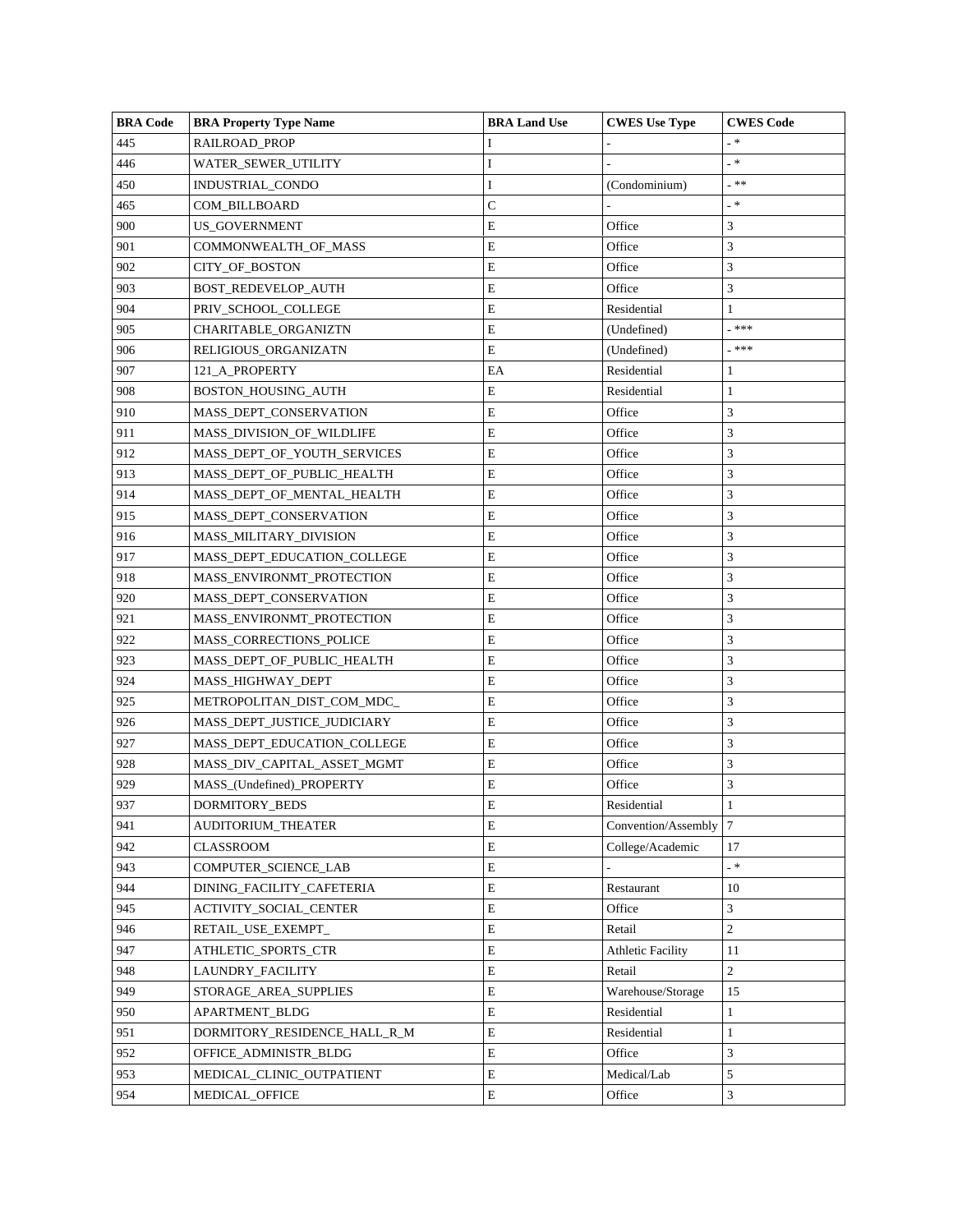| <b>BRA Code</b> | <b>BRA Property Type Name</b> | <b>BRA Land Use</b> | <b>CWES</b> Use Type     | <b>CWES</b> Code |
|-----------------|-------------------------------|---------------------|--------------------------|------------------|
| 445             | RAILROAD_PROP                 |                     |                          | . *              |
| 446             | WATER_SEWER_UTILITY           | I                   | $\overline{a}$           | _ *              |
| 450             | INDUSTRIAL_CONDO              | I                   | (Condominium)            | - **             |
| 465             | COM BILLBOARD                 | C                   |                          | _ *              |
| 900             | US_GOVERNMENT                 | E                   | Office                   | 3                |
| 901             | COMMONWEALTH_OF_MASS          | E                   | Office                   | 3                |
| 902             | <b>CITY OF BOSTON</b>         | E                   | Office                   | 3                |
| 903             | BOST_REDEVELOP_AUTH           | E                   | Office                   | 3                |
| 904             | PRIV_SCHOOL_COLLEGE           | E                   | Residential              | $\mathbf{1}$     |
| 905             | CHARITABLE ORGANIZTN          | E                   | (Undefined)              | _***             |
| 906             | RELIGIOUS_ORGANIZATN          | E                   | (Undefined)              | _ ***            |
| 907             | 121_A_PROPERTY                | EA                  | Residential              | 1                |
| 908             | BOSTON_HOUSING_AUTH           | E                   | Residential              | 1                |
| 910             | MASS_DEPT_CONSERVATION        | E                   | Office                   | 3                |
| 911             | MASS_DIVISION_OF_WILDLIFE     | E                   | Office                   | 3                |
| 912             | MASS_DEPT_OF_YOUTH_SERVICES   | E                   | Office                   | 3                |
| 913             | MASS_DEPT_OF_PUBLIC_HEALTH    | E                   | Office                   | 3                |
| 914             | MASS DEPT OF MENTAL HEALTH    | E                   | Office                   | 3                |
| 915             | MASS_DEPT_CONSERVATION        | E                   | Office                   | 3                |
| 916             | MASS MILITARY DIVISION        | E                   | Office                   | 3                |
| 917             | MASS_DEPT_EDUCATION_COLLEGE   | E                   | Office                   | 3                |
| 918             | MASS_ENVIRONMT_PROTECTION     | E                   | Office                   | 3                |
| 920             | MASS_DEPT_CONSERVATION        | E                   | Office                   | 3                |
| 921             | MASS_ENVIRONMT_PROTECTION     | E                   | Office                   | 3                |
| 922             | MASS_CORRECTIONS_POLICE       | E                   | Office                   | 3                |
| 923             | MASS_DEPT_OF_PUBLIC_HEALTH    | E                   | Office                   | 3                |
| 924             | MASS_HIGHWAY_DEPT             | E                   | Office                   | 3                |
| 925             | METROPOLITAN_DIST_COM_MDC_    | E                   | Office                   | 3                |
| 926             | MASS_DEPT_JUSTICE_JUDICIARY   | E                   | Office                   | 3                |
| 927             | MASS_DEPT_EDUCATION_COLLEGE   | E                   | Office                   | 3                |
| 928             | MASS_DIV_CAPITAL_ASSET_MGMT   | E                   | Office                   | 3                |
| 929             | MASS_(Undefined)_PROPERTY     | E                   | Office                   | 3                |
| 937             | DORMITORY_BEDS                | E                   | Residential              | 1                |
| 941             | <b>AUDITORIUM THEATER</b>     | E                   | Convention/Assembly      | $7\phantom{.0}$  |
| 942             | CLASSROOM                     | E                   | College/Academic         | 17               |
| 943             | COMPUTER_SCIENCE_LAB          | E                   |                          | _ *              |
| 944             | DINING_FACILITY_CAFETERIA     | E                   | Restaurant               | 10               |
| 945             | ACTIVITY_SOCIAL_CENTER        | E                   | Office                   | 3                |
| 946             | RETAIL_USE_EXEMPT_            | E                   | Retail                   | $\overline{c}$   |
| 947             | ATHLETIC_SPORTS_CTR           | E                   | <b>Athletic Facility</b> | 11               |
| 948             | LAUNDRY_FACILITY              | E                   | Retail                   | $\overline{2}$   |
| 949             | STORAGE_AREA_SUPPLIES         | E                   | Warehouse/Storage        | 15               |
| 950             | APARTMENT_BLDG                | E                   | Residential              | $\mathbf{1}$     |
| 951             | DORMITORY_RESIDENCE_HALL_R_M  | E                   | Residential              | 1                |
| 952             | OFFICE_ADMINISTR_BLDG         | E                   | Office                   | 3                |
| 953             | MEDICAL_CLINIC_OUTPATIENT     | E                   | Medical/Lab              | 5                |
| 954             | MEDICAL_OFFICE                | Е                   | Office                   | 3                |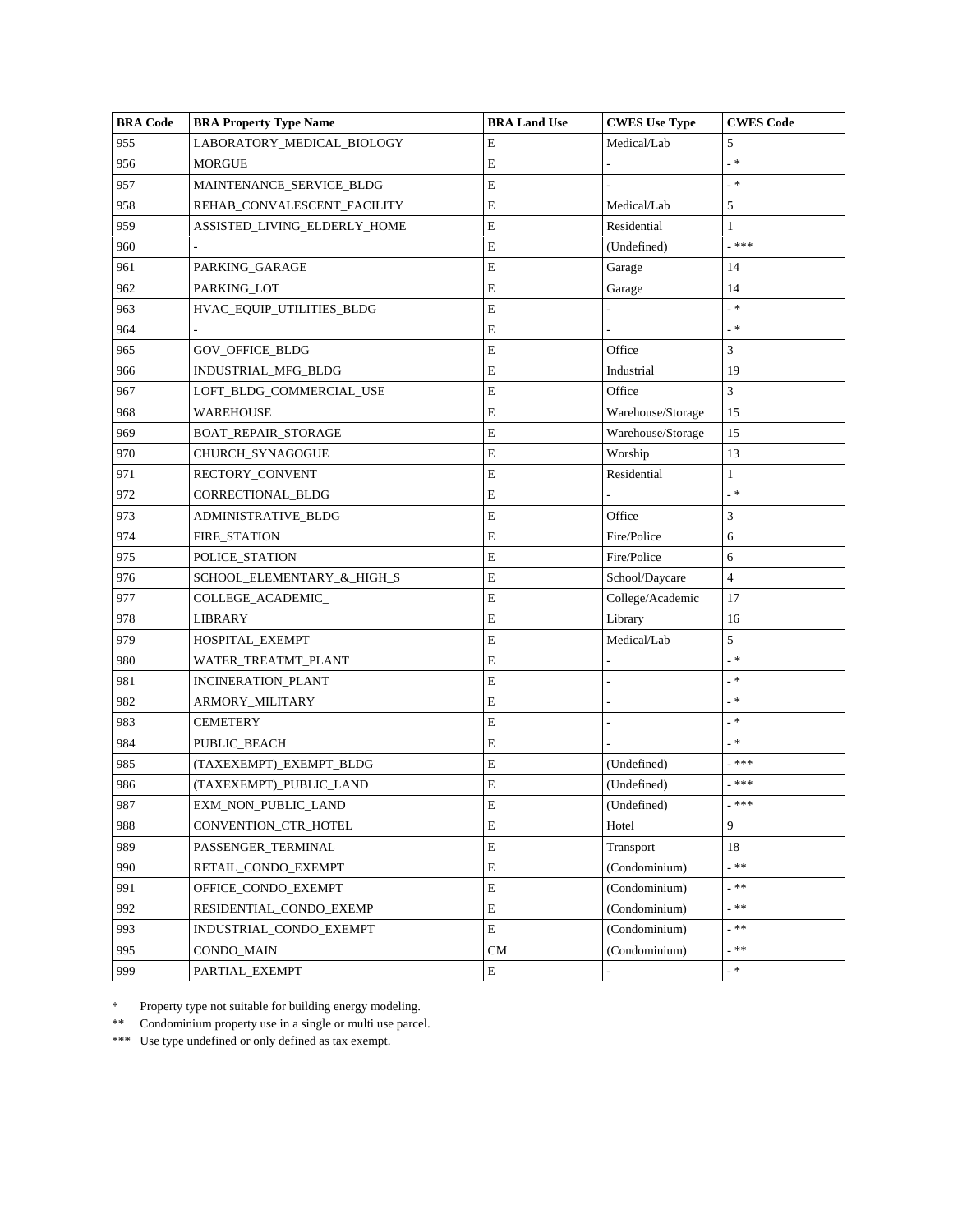| <b>BRA Code</b> | <b>BRA Property Type Name</b> | <b>BRA Land Use</b> | <b>CWES</b> Use Type | <b>CWES</b> Code |
|-----------------|-------------------------------|---------------------|----------------------|------------------|
| 955             | LABORATORY_MEDICAL_BIOLOGY    | E                   | Medical/Lab          | 5                |
| 956             | <b>MORGUE</b>                 | E                   |                      | _ *              |
| 957             | MAINTENANCE_SERVICE_BLDG      | E                   |                      | _ *              |
| 958             | REHAB_CONVALESCENT_FACILITY   | E                   | Medical/Lab          | 5                |
| 959             | ASSISTED_LIVING_ELDERLY_HOME  | ${\bf E}$           | Residential          | 1                |
| 960             |                               | $\mathbf E$         | (Undefined)          | _***             |
| 961             | PARKING_GARAGE                | E                   | Garage               | 14               |
| 962             | PARKING_LOT                   | E                   | Garage               | 14               |
| 963             | HVAC_EQUIP_UTILITIES_BLDG     | E                   |                      | _ *              |
| 964             |                               | E                   |                      | _ *              |
| 965             | GOV_OFFICE_BLDG               | E                   | Office               | 3                |
| 966             | INDUSTRIAL_MFG_BLDG           | E                   | Industrial           | 19               |
| 967             | LOFT_BLDG_COMMERCIAL_USE      | $\mathbf E$         | Office               | 3                |
| 968             | WAREHOUSE                     | E                   | Warehouse/Storage    | 15               |
| 969             | BOAT_REPAIR_STORAGE           | $\mathbf E$         | Warehouse/Storage    | 15               |
| 970             | CHURCH_SYNAGOGUE              | E                   | Worship              | 13               |
| 971             | RECTORY_CONVENT               | $\mathbf E$         | Residential          | $\mathbf{1}$     |
| 972             | CORRECTIONAL_BLDG             | E                   |                      | _ *              |
| 973             | ADMINISTRATIVE_BLDG           | $\mathbf E$         | Office               | 3                |
| 974             | FIRE_STATION                  | E                   | Fire/Police          | 6                |
| 975             | POLICE_STATION                | E                   | Fire/Police          | 6                |
| 976             | SCHOOL_ELEMENTARY_&_HIGH_S    | $\mathbf E$         | School/Daycare       | 4                |
| 977             | COLLEGE_ACADEMIC_             | E                   | College/Academic     | 17               |
| 978             | LIBRARY                       | E                   | Library              | 16               |
| 979             | HOSPITAL_EXEMPT               | E                   | Medical/Lab          | 5                |
| 980             | WATER_TREATMT_PLANT           | E                   |                      | _ *              |
| 981             | <b>INCINERATION_PLANT</b>     | E                   |                      | _ *              |
| 982             | ARMORY_MILITARY               | $\mathbf E$         |                      | _ *              |
| 983             | <b>CEMETERY</b>               | $\mathbf E$         |                      | - *              |
| 984             | PUBLIC_BEACH                  | E                   |                      | _ *              |
| 985             | (TAXEXEMPT)_EXEMPT_BLDG       | E                   | (Undefined)          | _ ***            |
| 986             | (TAXEXEMPT)_PUBLIC_LAND       | E                   | (Undefined)          | _ ***            |
| 987             | EXM_NON_PUBLIC_LAND           | E                   | (Undefined)          | _ ***            |
| 988             | <b>CONVENTION CTR HOTEL</b>   | $\mathbf E$         | Hotel                | 9                |
| 989             | PASSENGER_TERMINAL            | $\mathbf E$         | Transport            | 18               |
| 990             | RETAIL_CONDO_EXEMPT           | $\mathbf E$         | (Condominium)        | - 米米             |
| 991             | OFFICE CONDO EXEMPT           | E                   | (Condominium)        | _**              |
| 992             | RESIDENTIAL_CONDO_EXEMP       | $\mathbf E$         | (Condominium)        | _ 米米             |
| 993             | INDUSTRIAL_CONDO_EXEMPT       | $\mathbf E$         | (Condominium)        | _ 米米             |
| 995             | CONDO MAIN                    | CM                  | (Condominium)        | _ 米米             |
| 999             | PARTIAL_EXEMPT                | E                   |                      | .∗               |

\* Property type not suitable for building energy modeling.

\*\* Condominium property use in a single or multi use parcel.

\*\*\* Use type undefined or only defined as tax exempt.